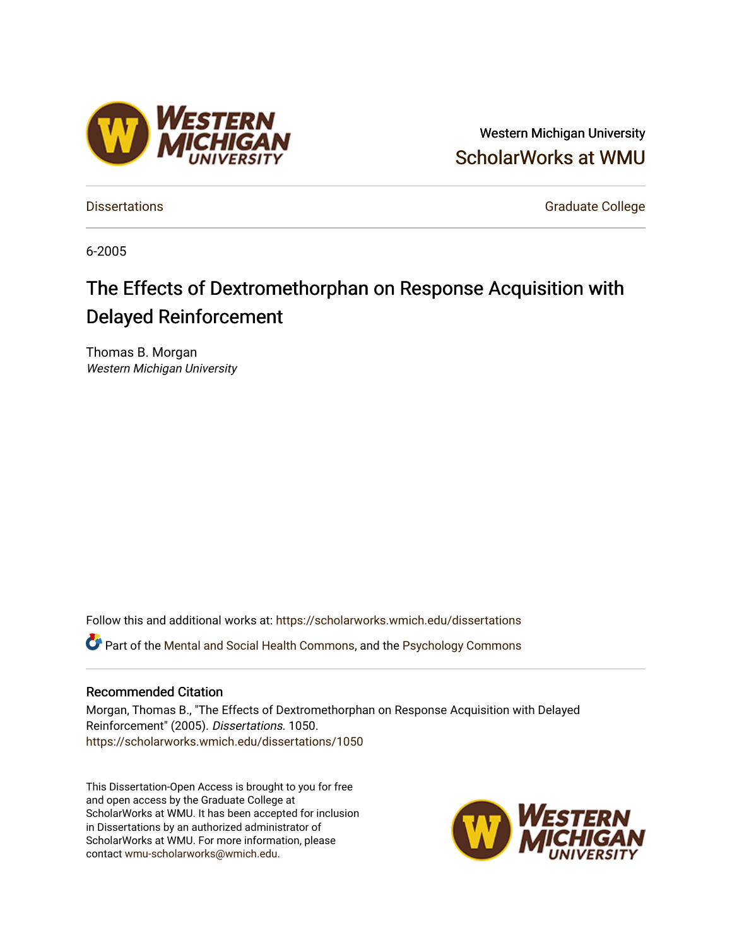# Western Michigan University [ScholarWorks at WMU](https://scholarworks.wmich.edu/)

[Dissertations](https://scholarworks.wmich.edu/dissertations) **Graduate College** Control of Control of Control of Control of Control of Control of Control of Control of Control of Control of Control of Control of Control of Control of Control of Control of Control of Co

6-2005

# The Effects of Dextromethorphan on Response Acquisition with Delayed Reinforcement

Thomas B. Morgan Western Michigan University

Follow this and additional works at: [https://scholarworks.wmich.edu/dissertations](https://scholarworks.wmich.edu/dissertations?utm_source=scholarworks.wmich.edu%2Fdissertations%2F1050&utm_medium=PDF&utm_campaign=PDFCoverPages) Part of the [Mental and Social Health Commons,](http://network.bepress.com/hgg/discipline/709?utm_source=scholarworks.wmich.edu%2Fdissertations%2F1050&utm_medium=PDF&utm_campaign=PDFCoverPages) and the [Psychology Commons](http://network.bepress.com/hgg/discipline/404?utm_source=scholarworks.wmich.edu%2Fdissertations%2F1050&utm_medium=PDF&utm_campaign=PDFCoverPages)

#### Recommended Citation

Morgan, Thomas B., "The Effects of Dextromethorphan on Response Acquisition with Delayed Reinforcement" (2005). Dissertations. 1050. [https://scholarworks.wmich.edu/dissertations/1050](https://scholarworks.wmich.edu/dissertations/1050?utm_source=scholarworks.wmich.edu%2Fdissertations%2F1050&utm_medium=PDF&utm_campaign=PDFCoverPages)

This Dissertation-Open Access is brought to you for free and open access by the Graduate College at ScholarWorks at WMU. It has been accepted for inclusion in Dissertations by an authorized administrator of ScholarWorks at WMU. For more information, please contact [wmu-scholarworks@wmich.edu](mailto:wmu-scholarworks@wmich.edu).



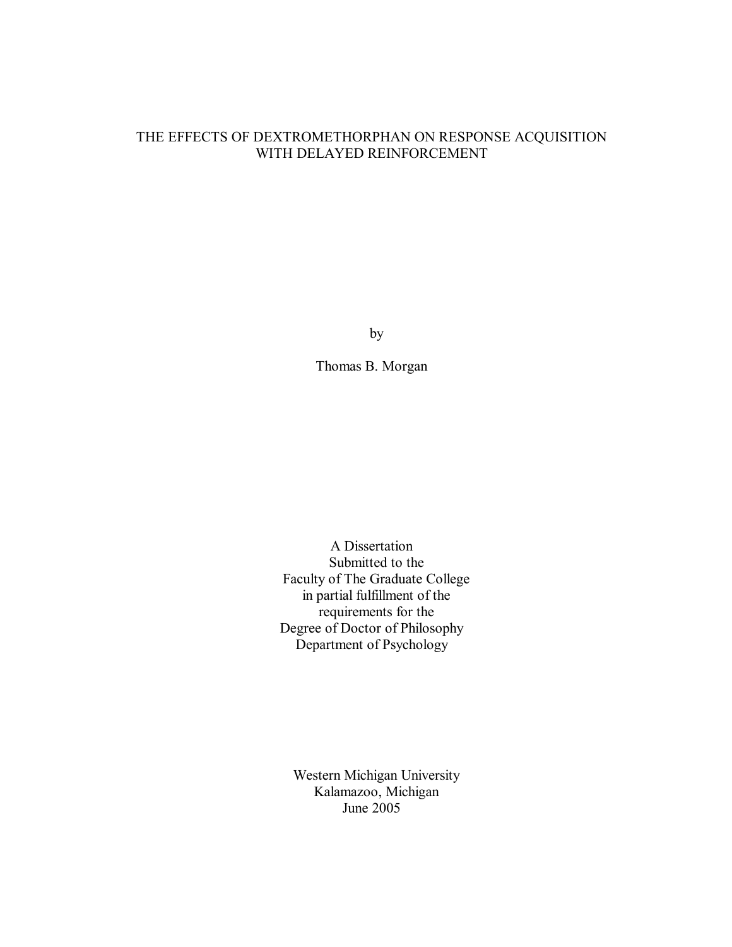### THE EFFECTS OF DEXTROMETHORPHAN ON RESPONSE ACQUISITION WITH DELAYED REINFORCEMENT

by

Thomas B. Morgan

A Dissertation Submitted to the Faculty of The Graduate College in partial fulfillment of the requirements for the Degree of Doctor of Philosophy Department of Psychology

Western Michigan University Kalamazoo, Michigan June 2005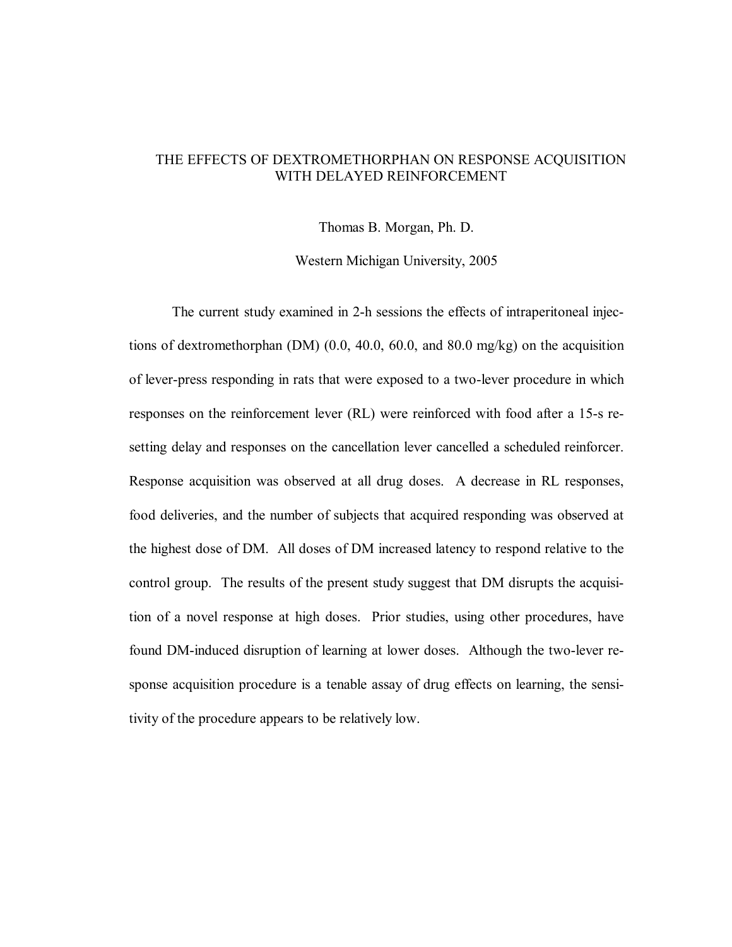#### THE EFFECTS OF DEXTROMETHORPHAN ON RESPONSE ACQUISITION WITH DELAYED REINFORCEMENT

Thomas B. Morgan, Ph. D.

Western Michigan University, 2005

The current study examined in 2-h sessions the effects of intraperitoneal injections of dextromethorphan (DM) (0.0, 40.0, 60.0, and 80.0 mg/kg) on the acquisition of lever-press responding in rats that were exposed to a two-lever procedure in which responses on the reinforcement lever (RL) were reinforced with food after a 15-s resetting delay and responses on the cancellation lever cancelled a scheduled reinforcer. Response acquisition was observed at all drug doses. A decrease in RL responses, food deliveries, and the number of subjects that acquired responding was observed at the highest dose of DM. All doses of DM increased latency to respond relative to the control group. The results of the present study suggest that DM disrupts the acquisition of a novel response at high doses. Prior studies, using other procedures, have found DM-induced disruption of learning at lower doses. Although the two-lever response acquisition procedure is a tenable assay of drug effects on learning, the sensitivity of the procedure appears to be relatively low.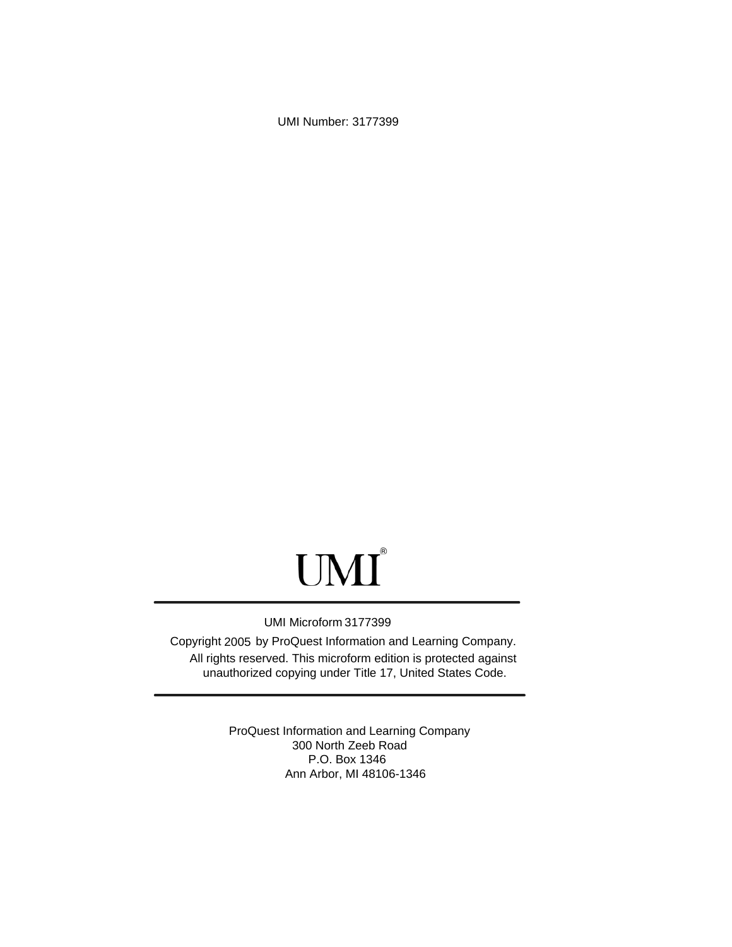UMI Number: 3177399

# UMI<sup>®</sup>

#### UMI Microform 3177399

Copyright 2005 by ProQuest Information and Learning Company. All rights reserved. This microform edition is protected against unauthorized copying under Title 17, United States Code.

> ProQuest Information and Learning Company 300 North Zeeb Road P.O. Box 1346 Ann Arbor, MI 48106-1346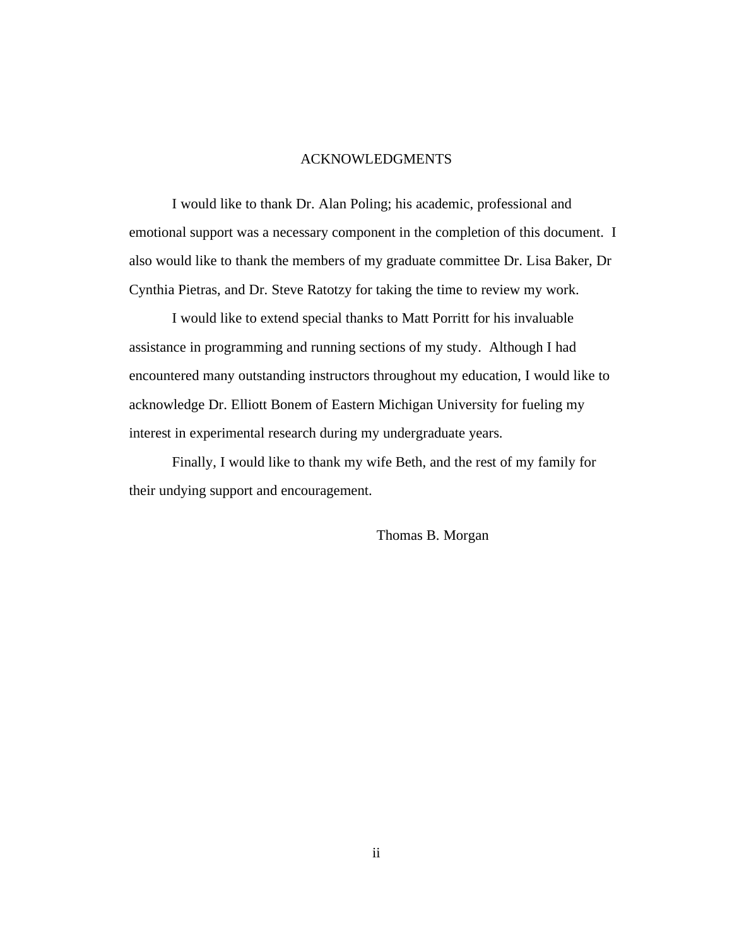#### ACKNOWLEDGMENTS

I would like to thank Dr. Alan Poling; his academic, professional and emotional support was a necessary component in the completion of this document. I also would like to thank the members of my graduate committee Dr. Lisa Baker, Dr Cynthia Pietras, and Dr. Steve Ratotzy for taking the time to review my work.

I would like to extend special thanks to Matt Porritt for his invaluable assistance in programming and running sections of my study. Although I had encountered many outstanding instructors throughout my education, I would like to acknowledge Dr. Elliott Bonem of Eastern Michigan University for fueling my interest in experimental research during my undergraduate years.

Finally, I would like to thank my wife Beth, and the rest of my family for their undying support and encouragement.

Thomas B. Morgan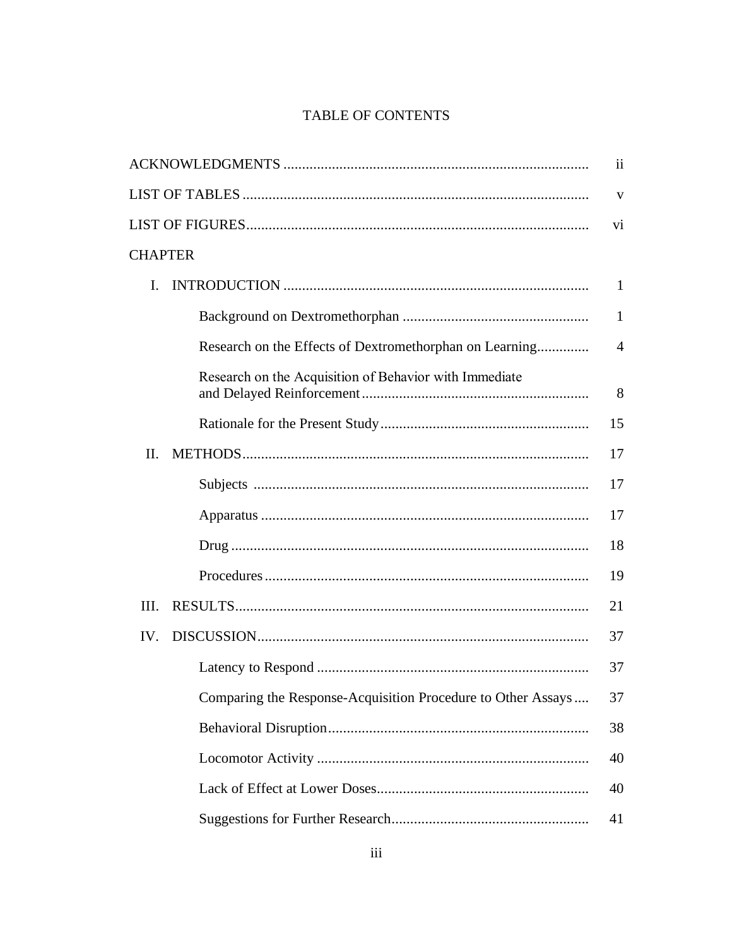# TABLE OF CONTENTS

|                                                              | $\overline{\mathbf{u}}$ |
|--------------------------------------------------------------|-------------------------|
|                                                              | V                       |
|                                                              | V <sub>i</sub>          |
| <b>CHAPTER</b>                                               |                         |
| I.                                                           | $\mathbf{1}$            |
|                                                              | $\mathbf{1}$            |
| Research on the Effects of Dextromethorphan on Learning      | 4                       |
| Research on the Acquisition of Behavior with Immediate       | 8                       |
|                                                              | 15                      |
| II.                                                          | 17                      |
|                                                              | 17                      |
|                                                              | 17                      |
|                                                              | 18                      |
|                                                              | 19                      |
| III.                                                         | 21                      |
| IV.                                                          | 37                      |
|                                                              | 37                      |
| Comparing the Response-Acquisition Procedure to Other Assays | 37                      |
|                                                              | 38                      |
|                                                              | 40                      |
|                                                              | 40                      |
|                                                              | 41                      |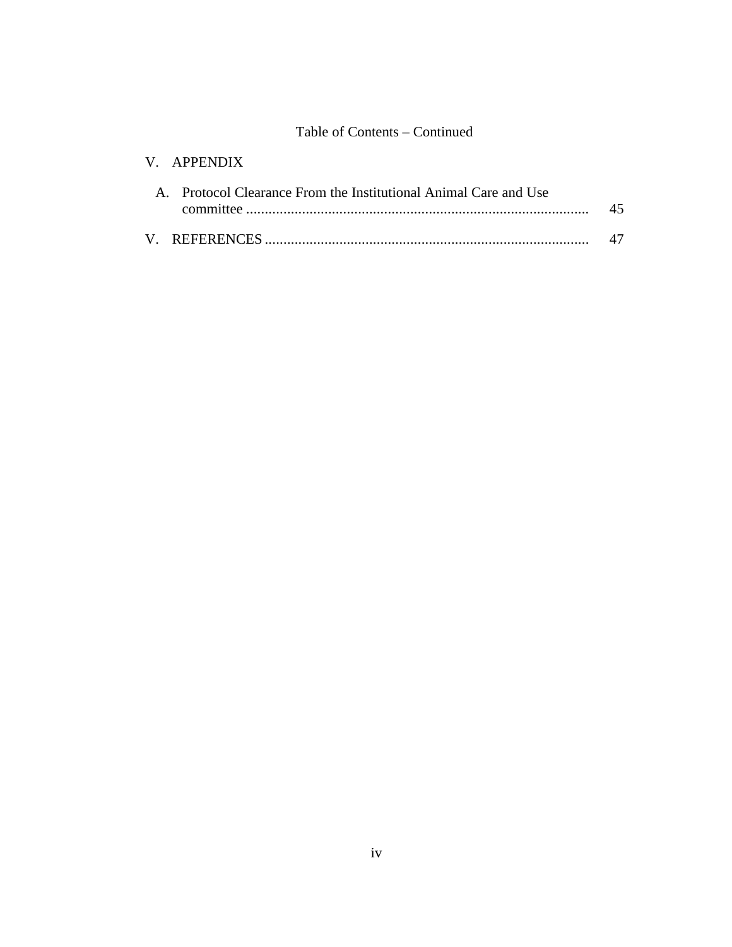## Table of Contents – Continued

# V. APPENDIX

| A. Protocol Clearance From the Institutional Animal Care and Use |  |  |
|------------------------------------------------------------------|--|--|
|                                                                  |  |  |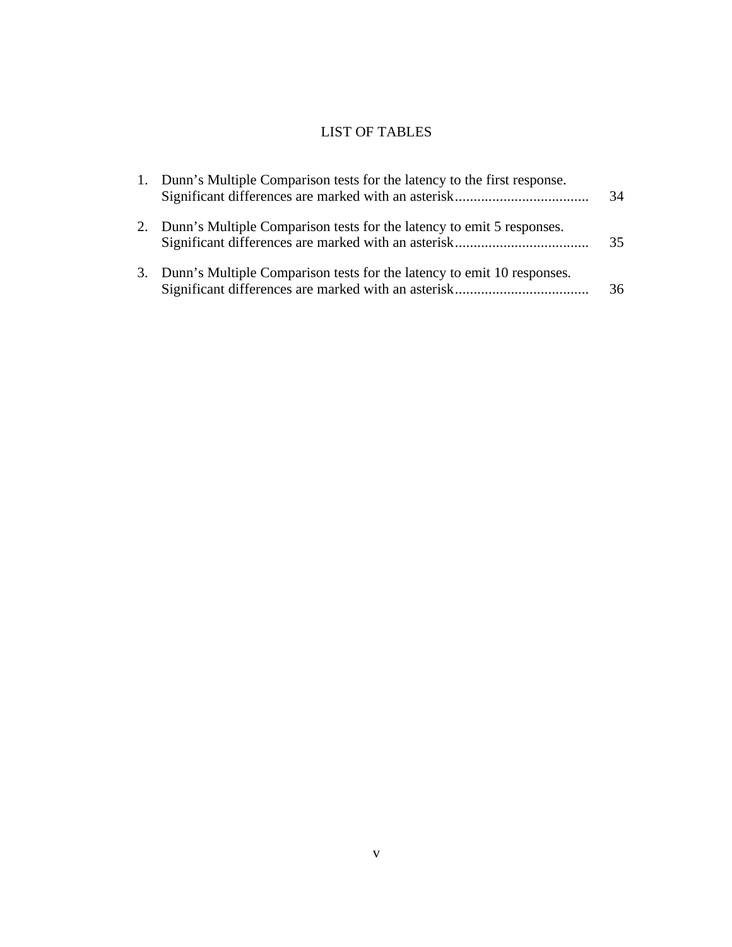# LIST OF TABLES

| 1. Dunn's Multiple Comparison tests for the latency to the first response. | 34 |
|----------------------------------------------------------------------------|----|
| Dunn's Multiple Comparison tests for the latency to emit 5 responses.      | 35 |
| 3. Dunn's Multiple Comparison tests for the latency to emit 10 responses.  | 36 |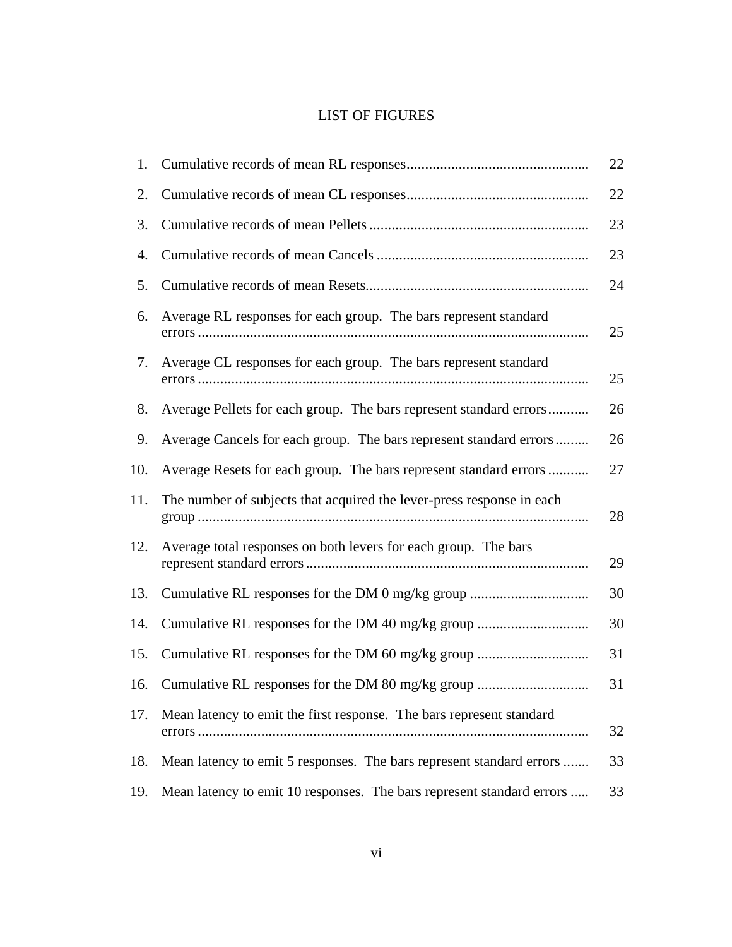# LIST OF FIGURES

| 1.  |                                                                       | 22 |
|-----|-----------------------------------------------------------------------|----|
| 2.  |                                                                       | 22 |
| 3.  |                                                                       | 23 |
| 4.  |                                                                       | 23 |
| 5.  |                                                                       | 24 |
| 6.  | Average RL responses for each group. The bars represent standard      | 25 |
| 7.  | Average CL responses for each group. The bars represent standard      | 25 |
| 8.  | Average Pellets for each group. The bars represent standard errors    | 26 |
| 9.  | Average Cancels for each group. The bars represent standard errors    | 26 |
| 10. | Average Resets for each group. The bars represent standard errors     | 27 |
| 11. | The number of subjects that acquired the lever-press response in each | 28 |
| 12. | Average total responses on both levers for each group. The bars       | 29 |
| 13. | Cumulative RL responses for the DM 0 mg/kg group                      | 30 |
| 14. | Cumulative RL responses for the DM 40 mg/kg group                     | 30 |
| 15. | Cumulative RL responses for the DM 60 mg/kg group                     | 31 |
| 16. | Cumulative RL responses for the DM 80 mg/kg group                     | 31 |
| 17. | Mean latency to emit the first response. The bars represent standard  | 32 |
| 18. | Mean latency to emit 5 responses. The bars represent standard errors  | 33 |
| 19. | Mean latency to emit 10 responses. The bars represent standard errors | 33 |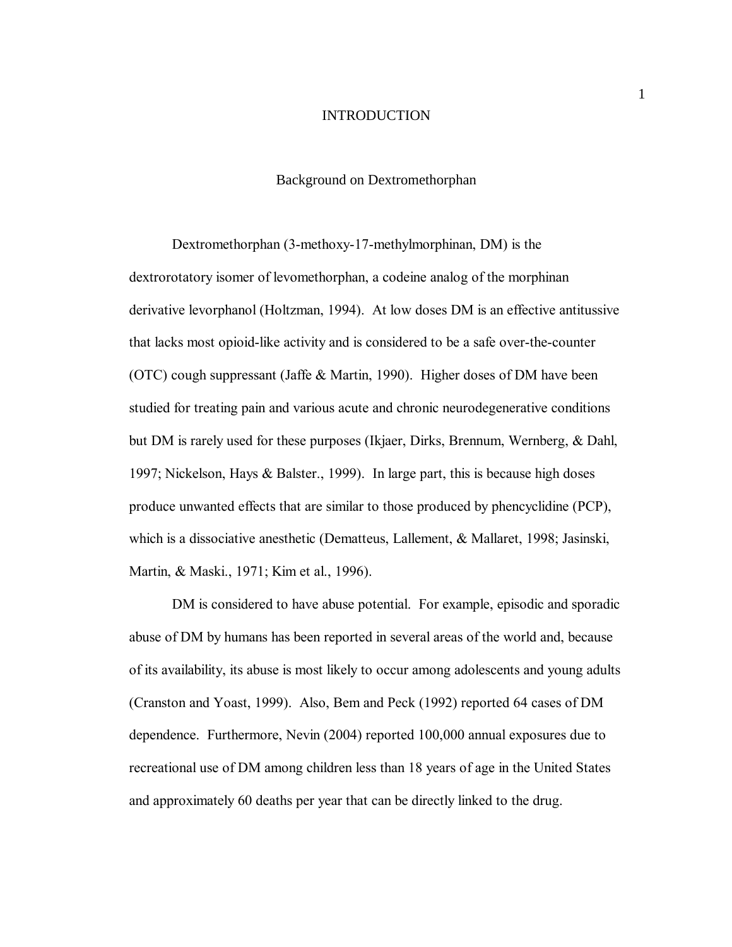#### INTRODUCTION

#### Background on Dextromethorphan

Dextromethorphan (3-methoxy-17-methylmorphinan, DM) is the dextrorotatory isomer of levomethorphan, a codeine analog of the morphinan derivative levorphanol (Holtzman, 1994). At low doses DM is an effective antitussive that lacks most opioid-like activity and is considered to be a safe over-the-counter (OTC) cough suppressant (Jaffe & Martin, 1990). Higher doses of DM have been studied for treating pain and various acute and chronic neurodegenerative conditions but DM is rarely used for these purposes (Ikjaer, Dirks, Brennum, Wernberg, & Dahl, 1997; Nickelson, Hays & Balster., 1999). In large part, this is because high doses produce unwanted effects that are similar to those produced by phencyclidine (PCP), which is a dissociative anesthetic (Dematteus, Lallement, & Mallaret, 1998; Jasinski, Martin, & Maski., 1971; Kim et al., 1996).

DM is considered to have abuse potential. For example, episodic and sporadic abuse of DM by humans has been reported in several areas of the world and, because of its availability, its abuse is most likely to occur among adolescents and young adults (Cranston and Yoast, 1999). Also, Bem and Peck (1992) reported 64 cases of DM dependence. Furthermore, Nevin (2004) reported 100,000 annual exposures due to recreational use of DM among children less than 18 years of age in the United States and approximately 60 deaths per year that can be directly linked to the drug.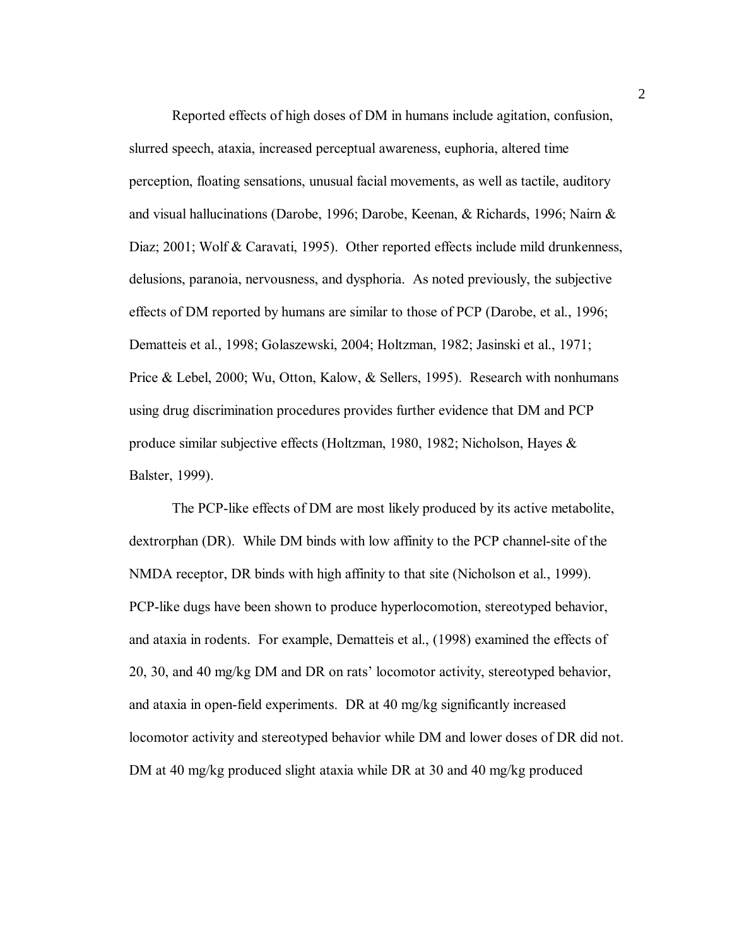Reported effects of high doses of DM in humans include agitation, confusion, slurred speech, ataxia, increased perceptual awareness, euphoria, altered time perception, floating sensations, unusual facial movements, as well as tactile, auditory and visual hallucinations (Darobe, 1996; Darobe, Keenan, & Richards, 1996; Nairn & Diaz; 2001; Wolf & Caravati, 1995). Other reported effects include mild drunkenness, delusions, paranoia, nervousness, and dysphoria. As noted previously, the subjective effects of DM reported by humans are similar to those of PCP (Darobe, et al., 1996; Dematteis et al., 1998; Golaszewski, 2004; Holtzman, 1982; Jasinski et al., 1971; Price & Lebel, 2000; Wu, Otton, Kalow, & Sellers, 1995). Research with nonhumans using drug discrimination procedures provides further evidence that DM and PCP produce similar subjective effects (Holtzman, 1980, 1982; Nicholson, Hayes & Balster, 1999).

The PCP-like effects of DM are most likely produced by its active metabolite, dextrorphan (DR). While DM binds with low affinity to the PCP channel-site of the NMDA receptor, DR binds with high affinity to that site (Nicholson et al., 1999). PCP-like dugs have been shown to produce hyperlocomotion, stereotyped behavior, and ataxia in rodents. For example, Dematteis et al., (1998) examined the effects of 20, 30, and 40 mg/kg DM and DR on rats' locomotor activity, stereotyped behavior, and ataxia in open-field experiments. DR at 40 mg/kg significantly increased locomotor activity and stereotyped behavior while DM and lower doses of DR did not. DM at 40 mg/kg produced slight ataxia while DR at 30 and 40 mg/kg produced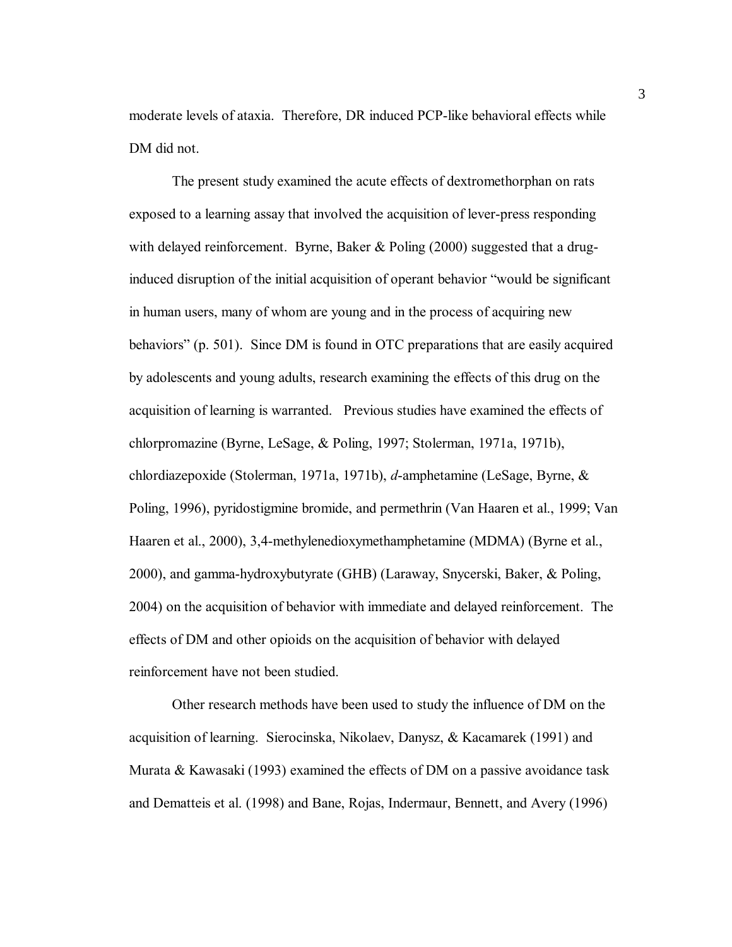moderate levels of ataxia. Therefore, DR induced PCP-like behavioral effects while DM did not.

The present study examined the acute effects of dextromethorphan on rats exposed to a learning assay that involved the acquisition of lever-press responding with delayed reinforcement. Byrne, Baker  $\&$  Poling (2000) suggested that a druginduced disruption of the initial acquisition of operant behavior "would be significant" in human users, many of whom are young and in the process of acquiring new behaviorsî (p. 501). Since DM is found in OTC preparations that are easily acquired by adolescents and young adults, research examining the effects of this drug on the acquisition of learning is warranted. Previous studies have examined the effects of chlorpromazine (Byrne, LeSage, & Poling, 1997; Stolerman, 1971a, 1971b), chlordiazepoxide (Stolerman, 1971a, 1971b), *d*-amphetamine (LeSage, Byrne, & Poling, 1996), pyridostigmine bromide, and permethrin (Van Haaren et al., 1999; Van Haaren et al., 2000), 3,4-methylenedioxymethamphetamine (MDMA) (Byrne et al., 2000), and gamma-hydroxybutyrate (GHB) (Laraway, Snycerski, Baker, & Poling, 2004) on the acquisition of behavior with immediate and delayed reinforcement. The effects of DM and other opioids on the acquisition of behavior with delayed reinforcement have not been studied.

Other research methods have been used to study the influence of DM on the acquisition of learning. Sierocinska, Nikolaev, Danysz, & Kacamarek (1991) and Murata & Kawasaki (1993) examined the effects of DM on a passive avoidance task and Dematteis et al. (1998) and Bane, Rojas, Indermaur, Bennett, and Avery (1996)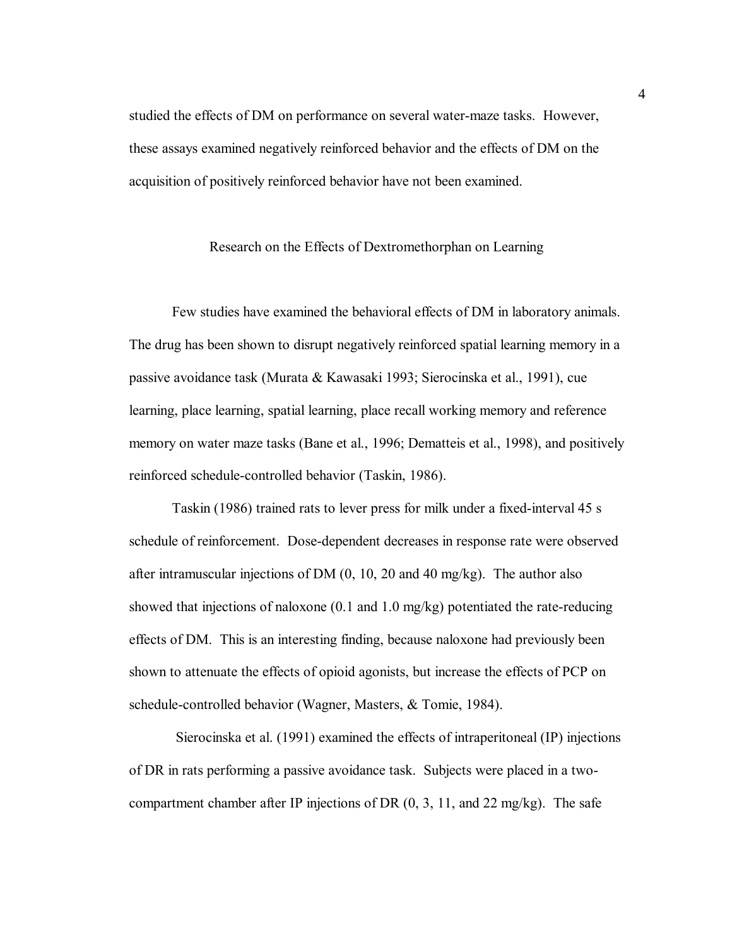studied the effects of DM on performance on several water-maze tasks. However, these assays examined negatively reinforced behavior and the effects of DM on the acquisition of positively reinforced behavior have not been examined.

#### Research on the Effects of Dextromethorphan on Learning

Few studies have examined the behavioral effects of DM in laboratory animals. The drug has been shown to disrupt negatively reinforced spatial learning memory in a passive avoidance task (Murata & Kawasaki 1993; Sierocinska et al., 1991), cue learning, place learning, spatial learning, place recall working memory and reference memory on water maze tasks (Bane et al., 1996; Dematteis et al., 1998), and positively reinforced schedule-controlled behavior (Taskin, 1986).

Taskin (1986) trained rats to lever press for milk under a fixed-interval 45 s schedule of reinforcement. Dose-dependent decreases in response rate were observed after intramuscular injections of DM (0, 10, 20 and 40 mg/kg). The author also showed that injections of naloxone (0.1 and 1.0 mg/kg) potentiated the rate-reducing effects of DM. This is an interesting finding, because naloxone had previously been shown to attenuate the effects of opioid agonists, but increase the effects of PCP on schedule-controlled behavior (Wagner, Masters, & Tomie, 1984).

 Sierocinska et al. (1991) examined the effects of intraperitoneal (IP) injections of DR in rats performing a passive avoidance task. Subjects were placed in a twocompartment chamber after IP injections of DR (0, 3, 11, and 22 mg/kg). The safe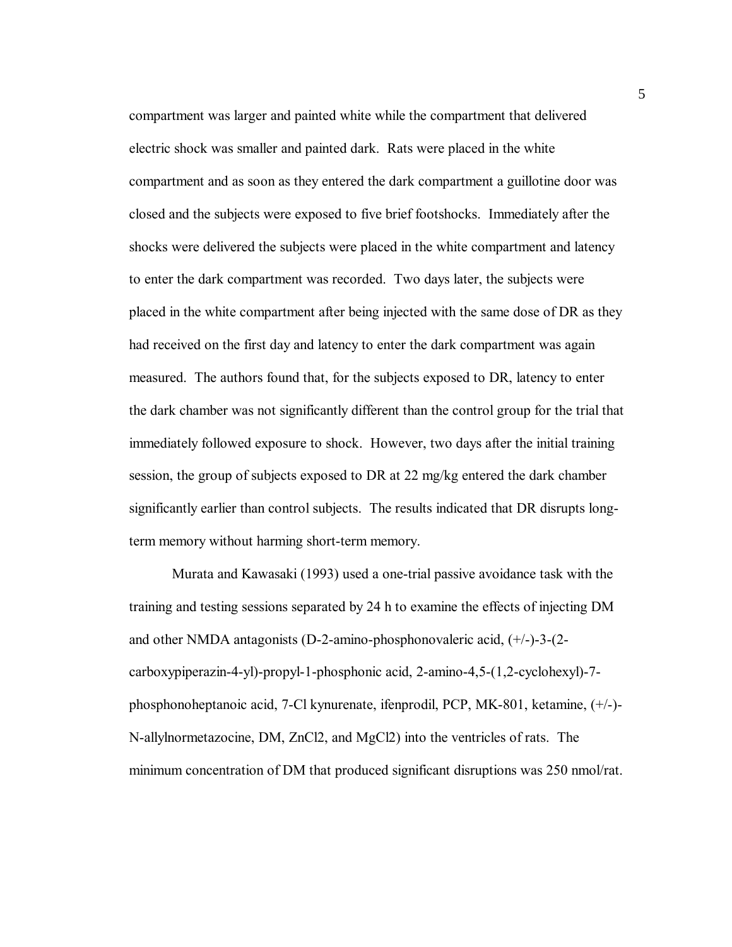compartment was larger and painted white while the compartment that delivered electric shock was smaller and painted dark. Rats were placed in the white compartment and as soon as they entered the dark compartment a guillotine door was closed and the subjects were exposed to five brief footshocks. Immediately after the shocks were delivered the subjects were placed in the white compartment and latency to enter the dark compartment was recorded. Two days later, the subjects were placed in the white compartment after being injected with the same dose of DR as they had received on the first day and latency to enter the dark compartment was again measured. The authors found that, for the subjects exposed to DR, latency to enter the dark chamber was not significantly different than the control group for the trial that immediately followed exposure to shock. However, two days after the initial training session, the group of subjects exposed to DR at 22 mg/kg entered the dark chamber significantly earlier than control subjects. The results indicated that DR disrupts longterm memory without harming short-term memory.

Murata and Kawasaki (1993) used a one-trial passive avoidance task with the training and testing sessions separated by 24 h to examine the effects of injecting DM and other NMDA antagonists (D-2-amino-phosphonovaleric acid, (+/-)-3-(2 carboxypiperazin-4-yl)-propyl-1-phosphonic acid, 2-amino-4,5-(1,2-cyclohexyl)-7 phosphonoheptanoic acid, 7-Cl kynurenate, ifenprodil, PCP, MK-801, ketamine, (+/-)- N-allylnormetazocine, DM, ZnCl2, and MgCl2) into the ventricles of rats. The minimum concentration of DM that produced significant disruptions was 250 nmol/rat.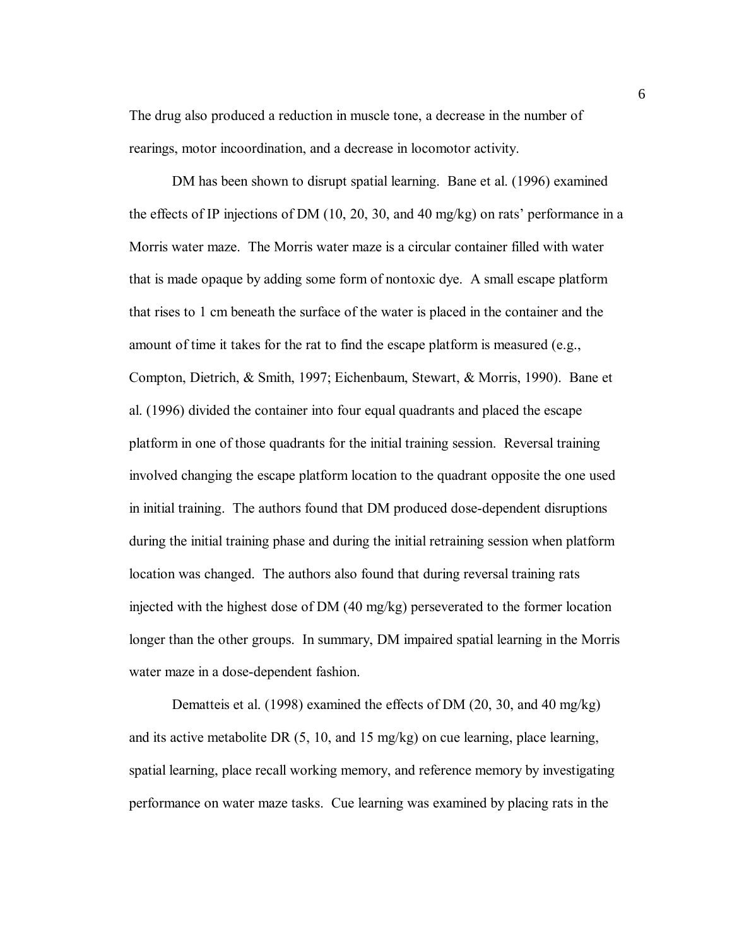The drug also produced a reduction in muscle tone, a decrease in the number of rearings, motor incoordination, and a decrease in locomotor activity.

DM has been shown to disrupt spatial learning. Bane et al. (1996) examined the effects of IP injections of DM  $(10, 20, 30,$  and 40 mg/kg) on rats' performance in a Morris water maze. The Morris water maze is a circular container filled with water that is made opaque by adding some form of nontoxic dye. A small escape platform that rises to 1 cm beneath the surface of the water is placed in the container and the amount of time it takes for the rat to find the escape platform is measured (e.g., Compton, Dietrich, & Smith, 1997; Eichenbaum, Stewart, & Morris, 1990). Bane et al. (1996) divided the container into four equal quadrants and placed the escape platform in one of those quadrants for the initial training session. Reversal training involved changing the escape platform location to the quadrant opposite the one used in initial training. The authors found that DM produced dose-dependent disruptions during the initial training phase and during the initial retraining session when platform location was changed. The authors also found that during reversal training rats injected with the highest dose of DM (40 mg/kg) perseverated to the former location longer than the other groups. In summary, DM impaired spatial learning in the Morris water maze in a dose-dependent fashion.

Dematteis et al. (1998) examined the effects of DM (20, 30, and 40 mg/kg) and its active metabolite DR (5, 10, and 15 mg/kg) on cue learning, place learning, spatial learning, place recall working memory, and reference memory by investigating performance on water maze tasks. Cue learning was examined by placing rats in the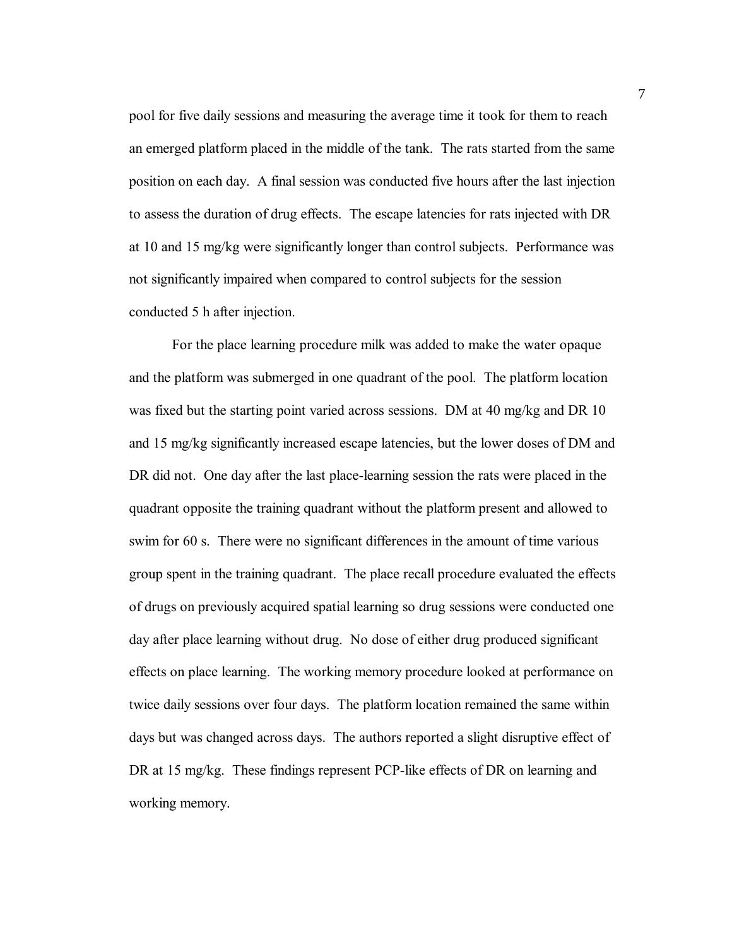pool for five daily sessions and measuring the average time it took for them to reach an emerged platform placed in the middle of the tank. The rats started from the same position on each day. A final session was conducted five hours after the last injection to assess the duration of drug effects. The escape latencies for rats injected with DR at 10 and 15 mg/kg were significantly longer than control subjects. Performance was not significantly impaired when compared to control subjects for the session conducted 5 h after injection.

For the place learning procedure milk was added to make the water opaque and the platform was submerged in one quadrant of the pool. The platform location was fixed but the starting point varied across sessions. DM at 40 mg/kg and DR 10 and 15 mg/kg significantly increased escape latencies, but the lower doses of DM and DR did not. One day after the last place-learning session the rats were placed in the quadrant opposite the training quadrant without the platform present and allowed to swim for 60 s. There were no significant differences in the amount of time various group spent in the training quadrant. The place recall procedure evaluated the effects of drugs on previously acquired spatial learning so drug sessions were conducted one day after place learning without drug. No dose of either drug produced significant effects on place learning. The working memory procedure looked at performance on twice daily sessions over four days. The platform location remained the same within days but was changed across days. The authors reported a slight disruptive effect of DR at 15 mg/kg. These findings represent PCP-like effects of DR on learning and working memory.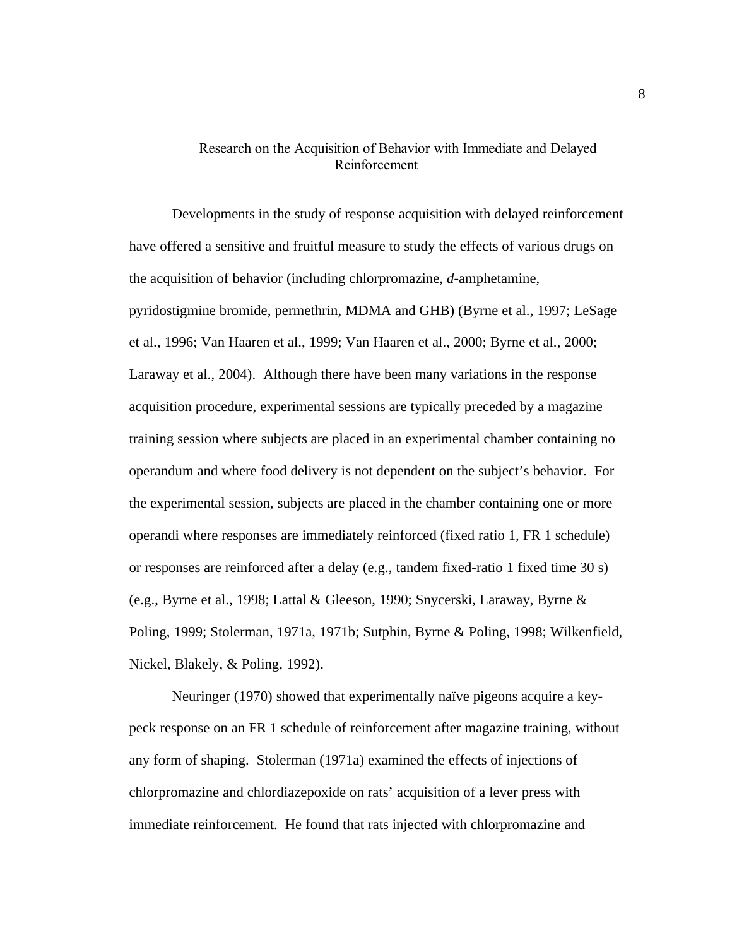#### Research on the Acquisition of Behavior with Immediate and Delayed Reinforcement

Developments in the study of response acquisition with delayed reinforcement have offered a sensitive and fruitful measure to study the effects of various drugs on the acquisition of behavior (including chlorpromazine, *d*-amphetamine, pyridostigmine bromide, permethrin, MDMA and GHB) (Byrne et al., 1997; LeSage et al., 1996; Van Haaren et al., 1999; Van Haaren et al., 2000; Byrne et al., 2000; Laraway et al., 2004). Although there have been many variations in the response acquisition procedure, experimental sessions are typically preceded by a magazine training session where subjects are placed in an experimental chamber containing no operandum and where food delivery is not dependent on the subject's behavior. For the experimental session, subjects are placed in the chamber containing one or more operandi where responses are immediately reinforced (fixed ratio 1, FR 1 schedule) or responses are reinforced after a delay (e.g., tandem fixed-ratio 1 fixed time 30 s) (e.g., Byrne et al., 1998; Lattal & Gleeson, 1990; Snycerski, Laraway, Byrne & Poling, 1999; Stolerman, 1971a, 1971b; Sutphin, Byrne & Poling, 1998; Wilkenfield, Nickel, Blakely, & Poling, 1992).

Neuringer (1970) showed that experimentally naïve pigeons acquire a keypeck response on an FR 1 schedule of reinforcement after magazine training, without any form of shaping. Stolerman (1971a) examined the effects of injections of chlorpromazine and chlordiazepoxide on rats' acquisition of a lever press with immediate reinforcement. He found that rats injected with chlorpromazine and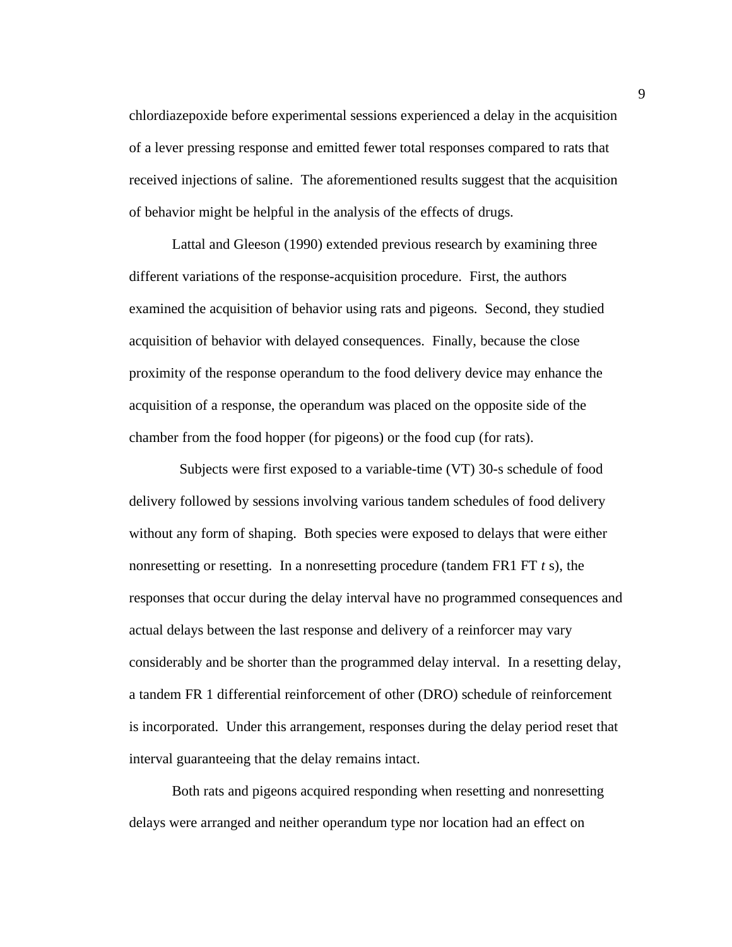chlordiazepoxide before experimental sessions experienced a delay in the acquisition of a lever pressing response and emitted fewer total responses compared to rats that received injections of saline. The aforementioned results suggest that the acquisition of behavior might be helpful in the analysis of the effects of drugs.

Lattal and Gleeson (1990) extended previous research by examining three different variations of the response-acquisition procedure. First, the authors examined the acquisition of behavior using rats and pigeons. Second, they studied acquisition of behavior with delayed consequences. Finally, because the close proximity of the response operandum to the food delivery device may enhance the acquisition of a response, the operandum was placed on the opposite side of the chamber from the food hopper (for pigeons) or the food cup (for rats).

 Subjects were first exposed to a variable-time (VT) 30-s schedule of food delivery followed by sessions involving various tandem schedules of food delivery without any form of shaping. Both species were exposed to delays that were either nonresetting or resetting. In a nonresetting procedure (tandem FR1 FT *t* s), the responses that occur during the delay interval have no programmed consequences and actual delays between the last response and delivery of a reinforcer may vary considerably and be shorter than the programmed delay interval. In a resetting delay, a tandem FR 1 differential reinforcement of other (DRO) schedule of reinforcement is incorporated. Under this arrangement, responses during the delay period reset that interval guaranteeing that the delay remains intact.

Both rats and pigeons acquired responding when resetting and nonresetting delays were arranged and neither operandum type nor location had an effect on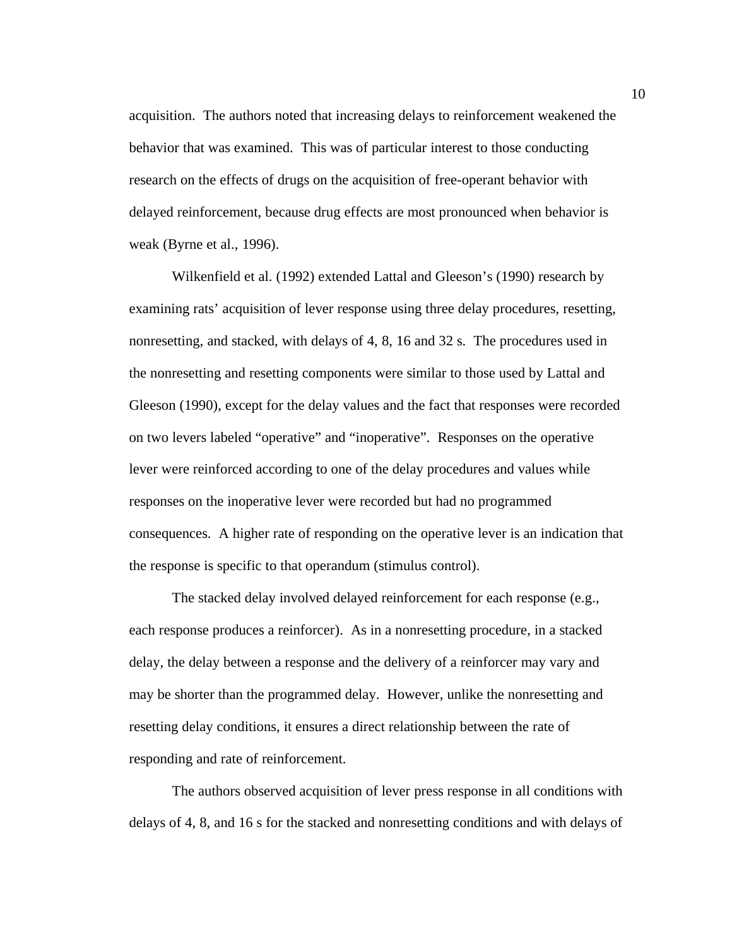acquisition. The authors noted that increasing delays to reinforcement weakened the behavior that was examined. This was of particular interest to those conducting research on the effects of drugs on the acquisition of free-operant behavior with delayed reinforcement, because drug effects are most pronounced when behavior is weak (Byrne et al., 1996).

Wilkenfield et al. (1992) extended Lattal and Gleeson's (1990) research by examining rats' acquisition of lever response using three delay procedures, resetting, nonresetting, and stacked, with delays of 4, 8, 16 and 32 s. The procedures used in the nonresetting and resetting components were similar to those used by Lattal and Gleeson (1990), except for the delay values and the fact that responses were recorded on two levers labeled "operative" and "inoperative". Responses on the operative lever were reinforced according to one of the delay procedures and values while responses on the inoperative lever were recorded but had no programmed consequences. A higher rate of responding on the operative lever is an indication that the response is specific to that operandum (stimulus control).

The stacked delay involved delayed reinforcement for each response (e.g., each response produces a reinforcer). As in a nonresetting procedure, in a stacked delay, the delay between a response and the delivery of a reinforcer may vary and may be shorter than the programmed delay. However, unlike the nonresetting and resetting delay conditions, it ensures a direct relationship between the rate of responding and rate of reinforcement.

The authors observed acquisition of lever press response in all conditions with delays of 4, 8, and 16 s for the stacked and nonresetting conditions and with delays of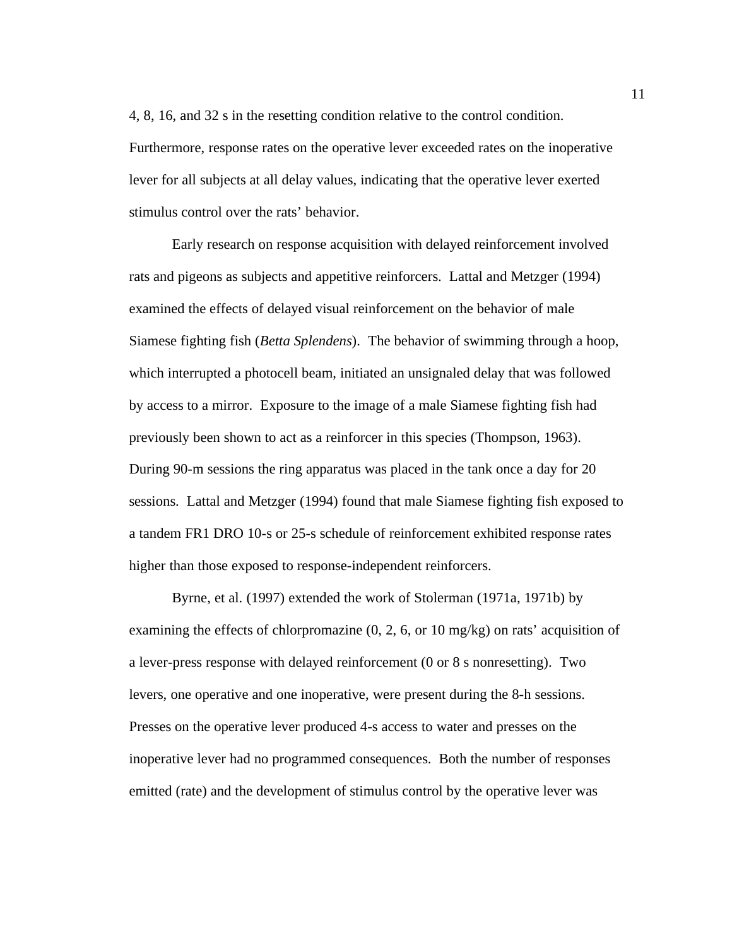4, 8, 16, and 32 s in the resetting condition relative to the control condition. Furthermore, response rates on the operative lever exceeded rates on the inoperative lever for all subjects at all delay values, indicating that the operative lever exerted stimulus control over the rats' behavior.

Early research on response acquisition with delayed reinforcement involved rats and pigeons as subjects and appetitive reinforcers. Lattal and Metzger (1994) examined the effects of delayed visual reinforcement on the behavior of male Siamese fighting fish (*Betta Splendens*). The behavior of swimming through a hoop, which interrupted a photocell beam, initiated an unsignaled delay that was followed by access to a mirror. Exposure to the image of a male Siamese fighting fish had previously been shown to act as a reinforcer in this species (Thompson, 1963). During 90-m sessions the ring apparatus was placed in the tank once a day for 20 sessions. Lattal and Metzger (1994) found that male Siamese fighting fish exposed to a tandem FR1 DRO 10-s or 25-s schedule of reinforcement exhibited response rates higher than those exposed to response-independent reinforcers.

Byrne, et al. (1997) extended the work of Stolerman (1971a, 1971b) by examining the effects of chlorpromazine (0, 2, 6, or 10 mg/kg) on rats' acquisition of a lever-press response with delayed reinforcement (0 or 8 s nonresetting). Two levers, one operative and one inoperative, were present during the 8-h sessions. Presses on the operative lever produced 4-s access to water and presses on the inoperative lever had no programmed consequences. Both the number of responses emitted (rate) and the development of stimulus control by the operative lever was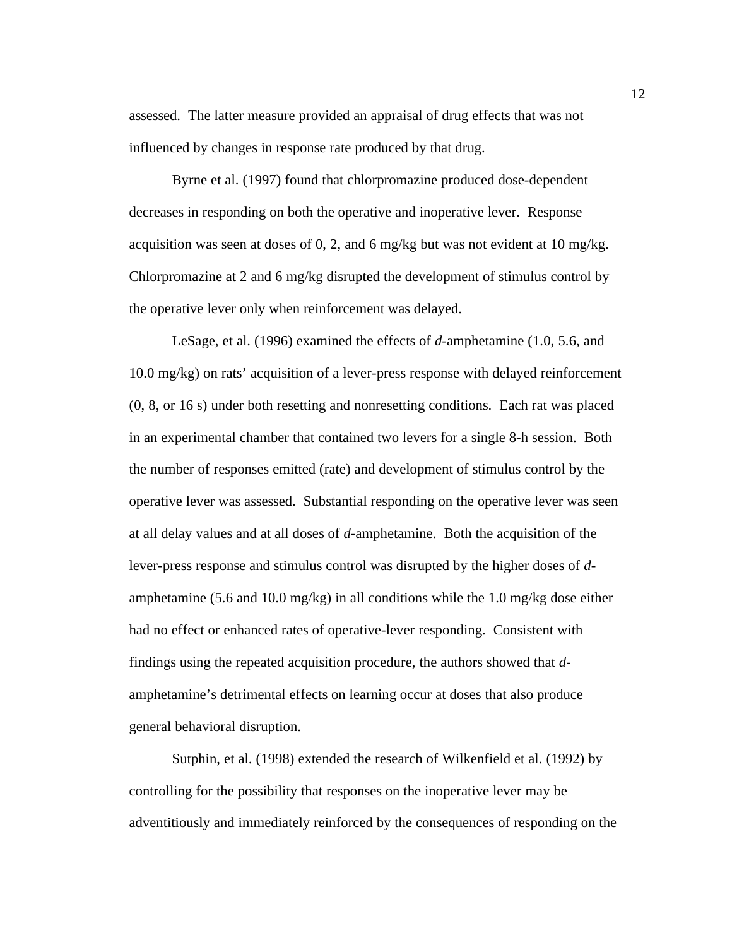assessed. The latter measure provided an appraisal of drug effects that was not influenced by changes in response rate produced by that drug.

Byrne et al. (1997) found that chlorpromazine produced dose-dependent decreases in responding on both the operative and inoperative lever. Response acquisition was seen at doses of 0, 2, and 6 mg/kg but was not evident at 10 mg/kg. Chlorpromazine at 2 and 6 mg/kg disrupted the development of stimulus control by the operative lever only when reinforcement was delayed.

LeSage, et al. (1996) examined the effects of *d*-amphetamine (1.0, 5.6, and 10.0 mg/kg) on rats' acquisition of a lever-press response with delayed reinforcement (0, 8, or 16 s) under both resetting and nonresetting conditions. Each rat was placed in an experimental chamber that contained two levers for a single 8-h session. Both the number of responses emitted (rate) and development of stimulus control by the operative lever was assessed. Substantial responding on the operative lever was seen at all delay values and at all doses of *d*-amphetamine. Both the acquisition of the lever-press response and stimulus control was disrupted by the higher doses of *d*amphetamine (5.6 and 10.0 mg/kg) in all conditions while the 1.0 mg/kg dose either had no effect or enhanced rates of operative-lever responding. Consistent with findings using the repeated acquisition procedure, the authors showed that *d*amphetamine's detrimental effects on learning occur at doses that also produce general behavioral disruption.

Sutphin, et al. (1998) extended the research of Wilkenfield et al. (1992) by controlling for the possibility that responses on the inoperative lever may be adventitiously and immediately reinforced by the consequences of responding on the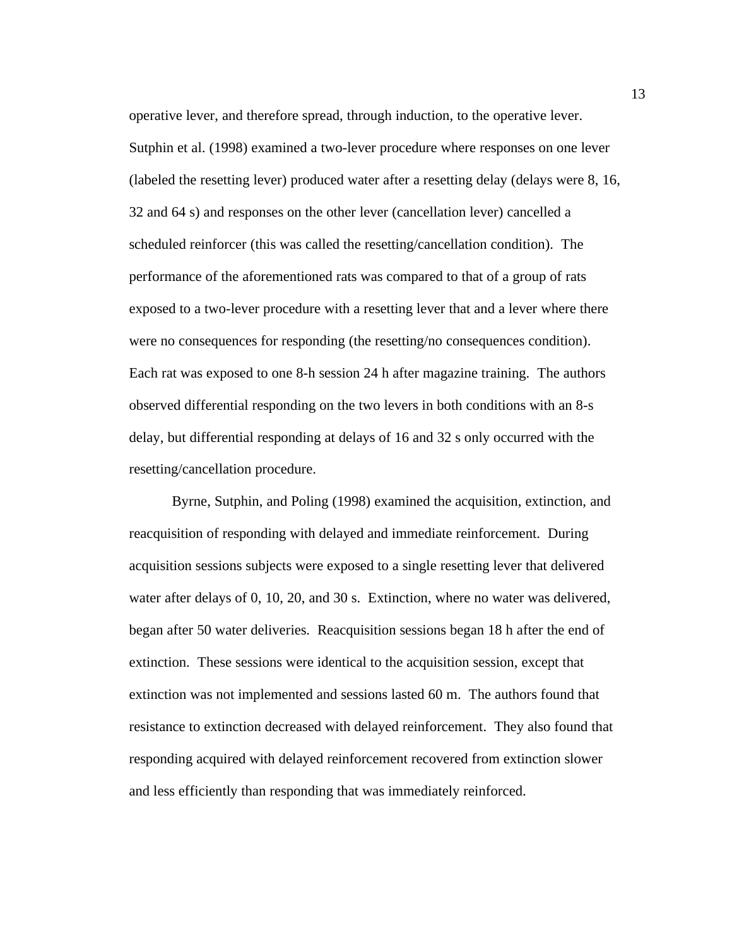operative lever, and therefore spread, through induction, to the operative lever. Sutphin et al. (1998) examined a two-lever procedure where responses on one lever (labeled the resetting lever) produced water after a resetting delay (delays were 8, 16, 32 and 64 s) and responses on the other lever (cancellation lever) cancelled a scheduled reinforcer (this was called the resetting/cancellation condition). The performance of the aforementioned rats was compared to that of a group of rats exposed to a two-lever procedure with a resetting lever that and a lever where there were no consequences for responding (the resetting/no consequences condition). Each rat was exposed to one 8-h session 24 h after magazine training. The authors observed differential responding on the two levers in both conditions with an 8-s delay, but differential responding at delays of 16 and 32 s only occurred with the resetting/cancellation procedure.

Byrne, Sutphin, and Poling (1998) examined the acquisition, extinction, and reacquisition of responding with delayed and immediate reinforcement. During acquisition sessions subjects were exposed to a single resetting lever that delivered water after delays of 0, 10, 20, and 30 s. Extinction, where no water was delivered, began after 50 water deliveries. Reacquisition sessions began 18 h after the end of extinction. These sessions were identical to the acquisition session, except that extinction was not implemented and sessions lasted 60 m. The authors found that resistance to extinction decreased with delayed reinforcement. They also found that responding acquired with delayed reinforcement recovered from extinction slower and less efficiently than responding that was immediately reinforced.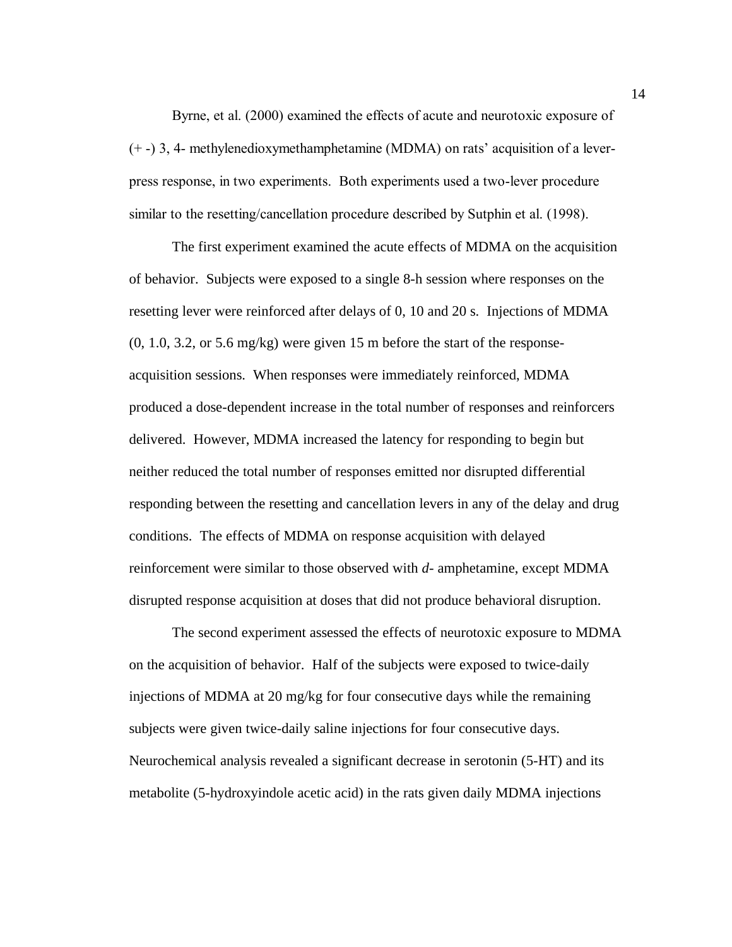Byrne, et al. (2000) examined the effects of acute and neurotoxic exposure of (+ -) 3, 4- methylenedioxymethamphetamine (MDMA) on ratsí acquisition of a leverpress response, in two experiments. Both experiments used a two-lever procedure similar to the resetting/cancellation procedure described by Sutphin et al. (1998).

The first experiment examined the acute effects of MDMA on the acquisition of behavior. Subjects were exposed to a single 8-h session where responses on the resetting lever were reinforced after delays of 0, 10 and 20 s. Injections of MDMA  $(0, 1.0, 3.2, \text{ or } 5.6 \text{ mg/kg})$  were given 15 m before the start of the responseacquisition sessions. When responses were immediately reinforced, MDMA produced a dose-dependent increase in the total number of responses and reinforcers delivered. However, MDMA increased the latency for responding to begin but neither reduced the total number of responses emitted nor disrupted differential responding between the resetting and cancellation levers in any of the delay and drug conditions. The effects of MDMA on response acquisition with delayed reinforcement were similar to those observed with *d*- amphetamine, except MDMA disrupted response acquisition at doses that did not produce behavioral disruption.

The second experiment assessed the effects of neurotoxic exposure to MDMA on the acquisition of behavior. Half of the subjects were exposed to twice-daily injections of MDMA at 20 mg/kg for four consecutive days while the remaining subjects were given twice-daily saline injections for four consecutive days. Neurochemical analysis revealed a significant decrease in serotonin (5-HT) and its metabolite (5-hydroxyindole acetic acid) in the rats given daily MDMA injections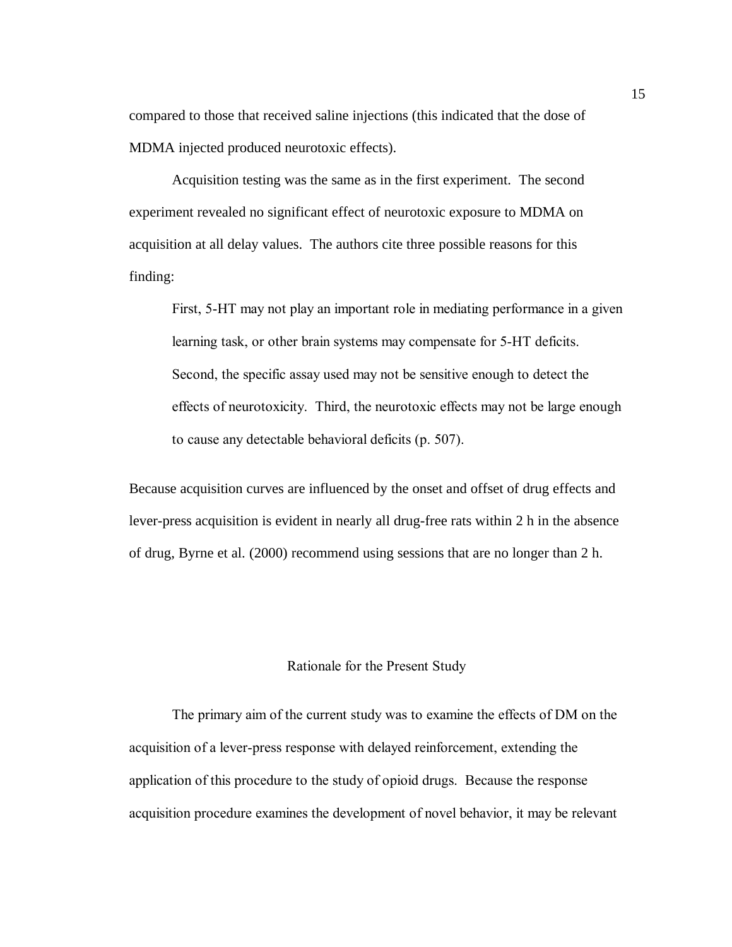compared to those that received saline injections (this indicated that the dose of MDMA injected produced neurotoxic effects).

Acquisition testing was the same as in the first experiment. The second experiment revealed no significant effect of neurotoxic exposure to MDMA on acquisition at all delay values. The authors cite three possible reasons for this finding:

First, 5-HT may not play an important role in mediating performance in a given learning task, or other brain systems may compensate for 5-HT deficits. Second, the specific assay used may not be sensitive enough to detect the effects of neurotoxicity. Third, the neurotoxic effects may not be large enough to cause any detectable behavioral deficits (p. 507).

Because acquisition curves are influenced by the onset and offset of drug effects and lever-press acquisition is evident in nearly all drug-free rats within 2 h in the absence of drug, Byrne et al. (2000) recommend using sessions that are no longer than 2 h.

#### Rationale for the Present Study

 The primary aim of the current study was to examine the effects of DM on the acquisition of a lever-press response with delayed reinforcement, extending the application of this procedure to the study of opioid drugs. Because the response acquisition procedure examines the development of novel behavior, it may be relevant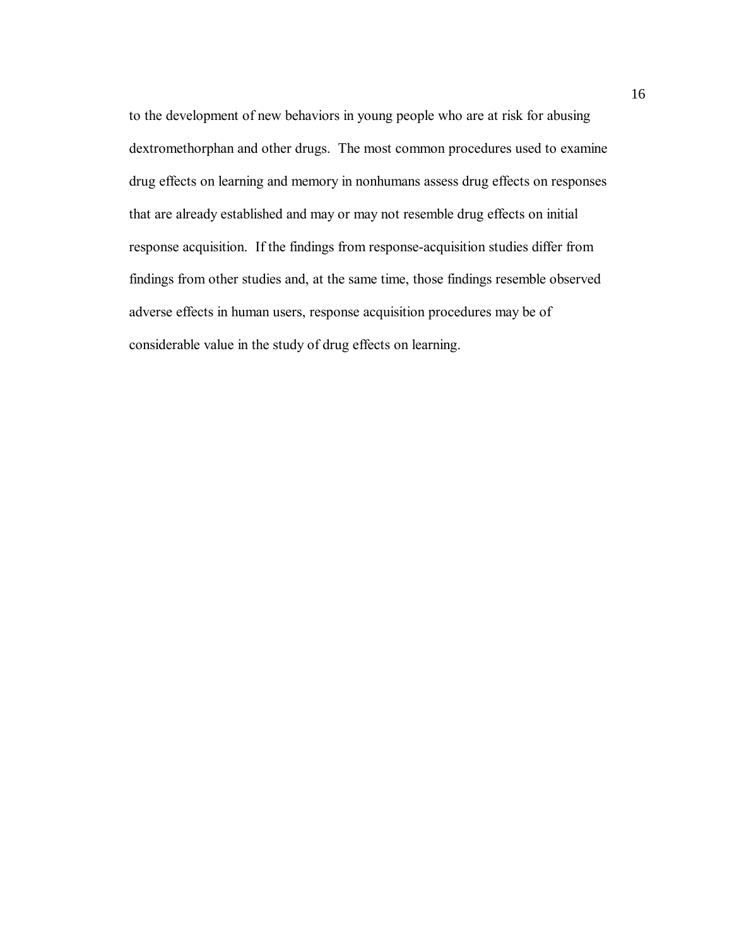to the development of new behaviors in young people who are at risk for abusing dextromethorphan and other drugs. The most common procedures used to examine drug effects on learning and memory in nonhumans assess drug effects on responses that are already established and may or may not resemble drug effects on initial response acquisition. If the findings from response-acquisition studies differ from findings from other studies and, at the same time, those findings resemble observed adverse effects in human users, response acquisition procedures may be of considerable value in the study of drug effects on learning.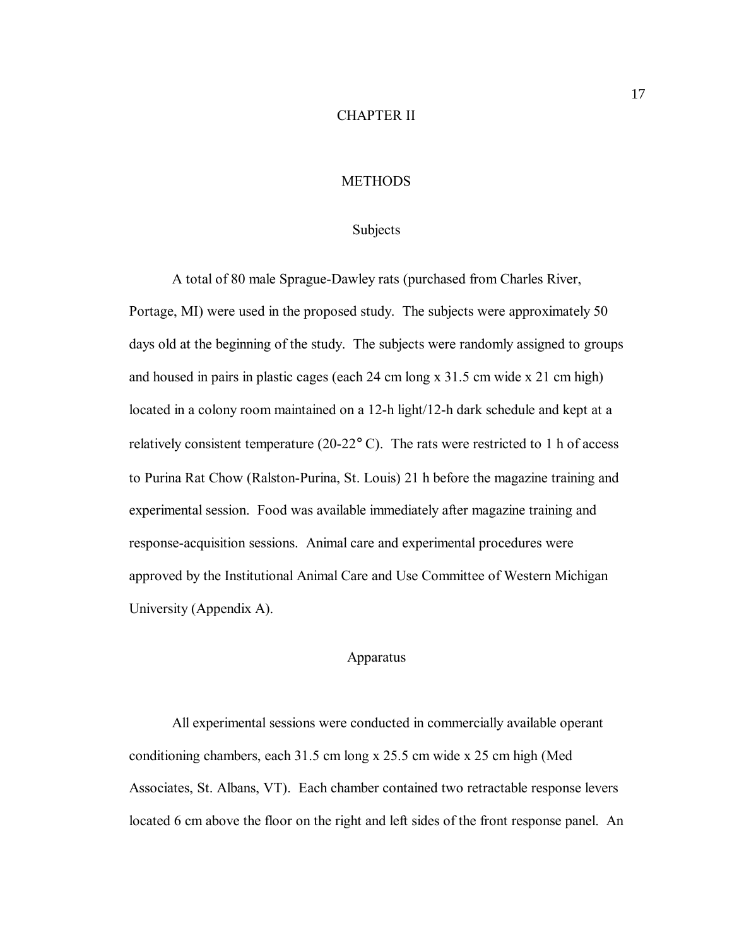#### CHAPTER II

#### **METHODS**

#### Subjects

A total of 80 male Sprague-Dawley rats (purchased from Charles River, Portage, MI) were used in the proposed study. The subjects were approximately 50 days old at the beginning of the study. The subjects were randomly assigned to groups and housed in pairs in plastic cages (each 24 cm long x 31.5 cm wide x 21 cm high) located in a colony room maintained on a 12-h light/12-h dark schedule and kept at a relatively consistent temperature (20-22° C). The rats were restricted to 1 h of access to Purina Rat Chow (Ralston-Purina, St. Louis) 21 h before the magazine training and experimental session. Food was available immediately after magazine training and response-acquisition sessions. Animal care and experimental procedures were approved by the Institutional Animal Care and Use Committee of Western Michigan University (Appendix A).

#### Apparatus

All experimental sessions were conducted in commercially available operant conditioning chambers, each 31.5 cm long x 25.5 cm wide x 25 cm high (Med Associates, St. Albans, VT). Each chamber contained two retractable response levers located 6 cm above the floor on the right and left sides of the front response panel. An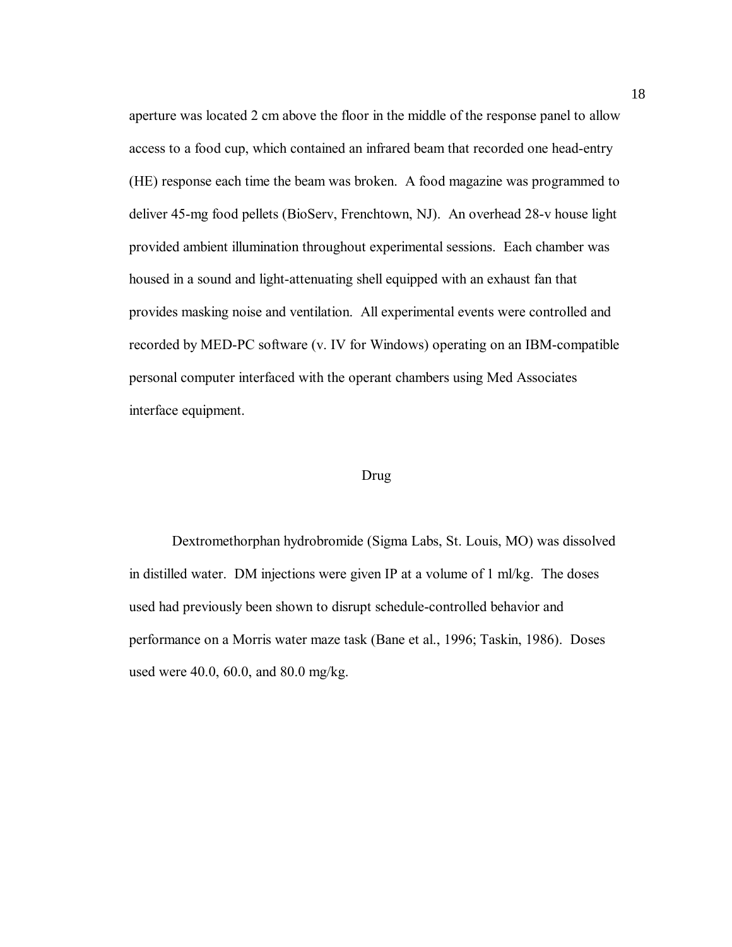aperture was located 2 cm above the floor in the middle of the response panel to allow access to a food cup, which contained an infrared beam that recorded one head-entry (HE) response each time the beam was broken. A food magazine was programmed to deliver 45-mg food pellets (BioServ, Frenchtown, NJ). An overhead 28-v house light provided ambient illumination throughout experimental sessions. Each chamber was housed in a sound and light-attenuating shell equipped with an exhaust fan that provides masking noise and ventilation. All experimental events were controlled and recorded by MED-PC software (v. IV for Windows) operating on an IBM-compatible personal computer interfaced with the operant chambers using Med Associates interface equipment.

#### Drug

Dextromethorphan hydrobromide (Sigma Labs, St. Louis, MO) was dissolved in distilled water. DM injections were given IP at a volume of 1 ml/kg. The doses used had previously been shown to disrupt schedule-controlled behavior and performance on a Morris water maze task (Bane et al., 1996; Taskin, 1986). Doses used were 40.0, 60.0, and 80.0 mg/kg.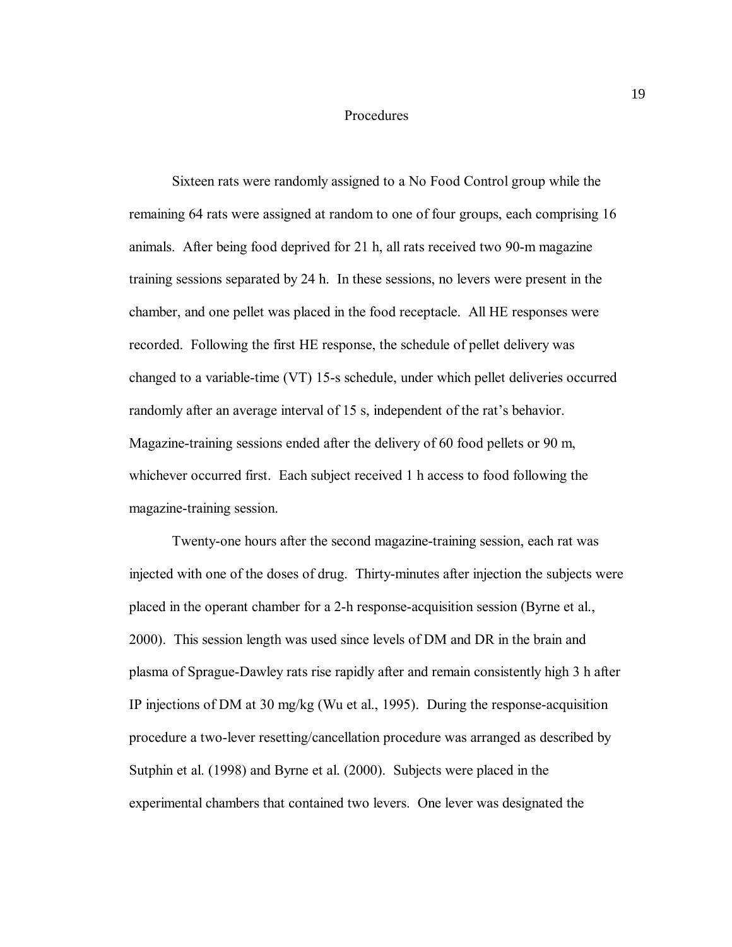#### Procedures

Sixteen rats were randomly assigned to a No Food Control group while the remaining 64 rats were assigned at random to one of four groups, each comprising 16 animals. After being food deprived for 21 h, all rats received two 90-m magazine training sessions separated by 24 h. In these sessions, no levers were present in the chamber, and one pellet was placed in the food receptacle. All HE responses were recorded. Following the first HE response, the schedule of pellet delivery was changed to a variable-time (VT) 15-s schedule, under which pellet deliveries occurred randomly after an average interval of 15 s, independent of the rat's behavior. Magazine-training sessions ended after the delivery of 60 food pellets or 90 m, whichever occurred first. Each subject received 1 h access to food following the magazine-training session.

 Twenty-one hours after the second magazine-training session, each rat was injected with one of the doses of drug. Thirty-minutes after injection the subjects were placed in the operant chamber for a 2-h response-acquisition session (Byrne et al., 2000). This session length was used since levels of DM and DR in the brain and plasma of Sprague-Dawley rats rise rapidly after and remain consistently high 3 h after IP injections of DM at 30 mg/kg (Wu et al., 1995). During the response-acquisition procedure a two-lever resetting/cancellation procedure was arranged as described by Sutphin et al. (1998) and Byrne et al. (2000). Subjects were placed in the experimental chambers that contained two levers. One lever was designated the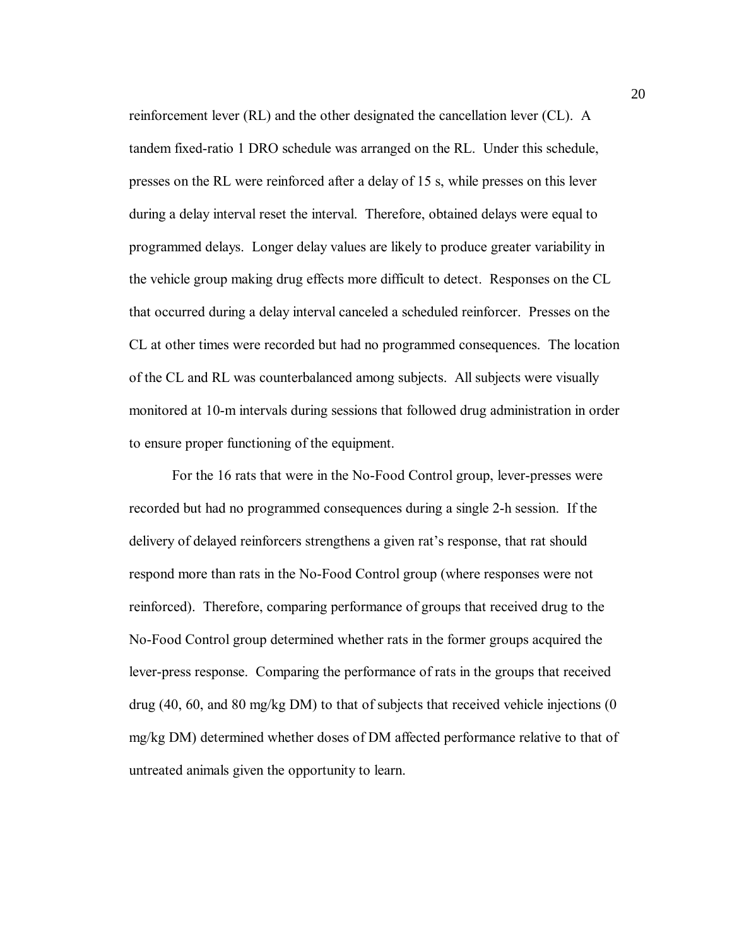reinforcement lever (RL) and the other designated the cancellation lever (CL). A tandem fixed-ratio 1 DRO schedule was arranged on the RL. Under this schedule, presses on the RL were reinforced after a delay of 15 s, while presses on this lever during a delay interval reset the interval. Therefore, obtained delays were equal to programmed delays. Longer delay values are likely to produce greater variability in the vehicle group making drug effects more difficult to detect. Responses on the CL that occurred during a delay interval canceled a scheduled reinforcer. Presses on the CL at other times were recorded but had no programmed consequences. The location of the CL and RL was counterbalanced among subjects. All subjects were visually monitored at 10-m intervals during sessions that followed drug administration in order to ensure proper functioning of the equipment.

For the 16 rats that were in the No-Food Control group, lever-presses were recorded but had no programmed consequences during a single 2-h session. If the delivery of delayed reinforcers strengthens a given rat's response, that rat should respond more than rats in the No-Food Control group (where responses were not reinforced). Therefore, comparing performance of groups that received drug to the No-Food Control group determined whether rats in the former groups acquired the lever-press response. Comparing the performance of rats in the groups that received drug (40, 60, and 80 mg/kg DM) to that of subjects that received vehicle injections (0 mg/kg DM) determined whether doses of DM affected performance relative to that of untreated animals given the opportunity to learn.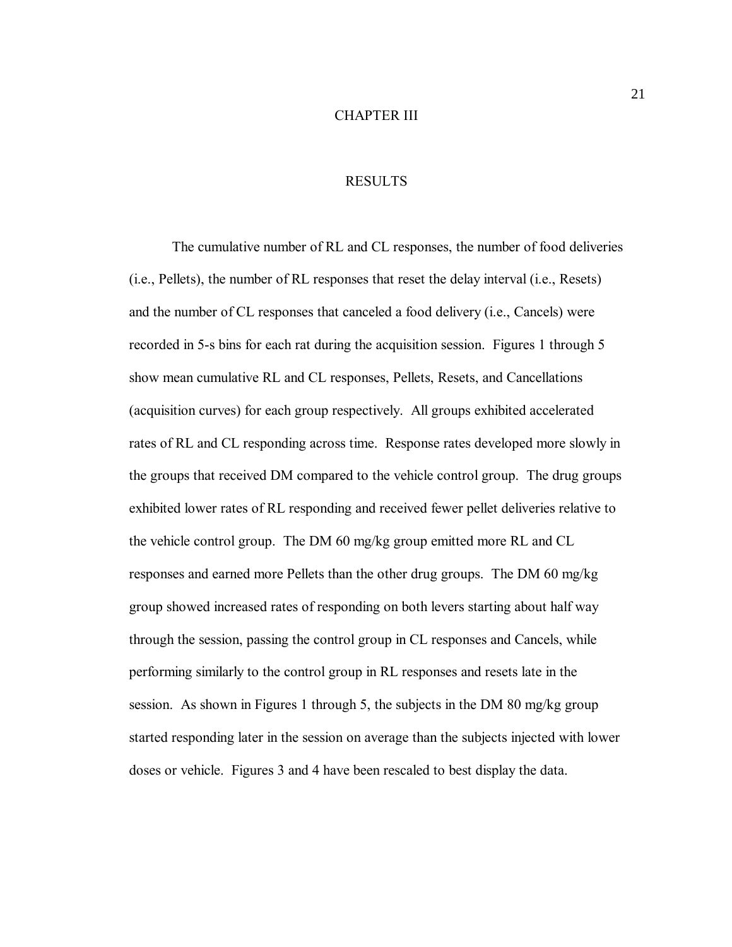#### CHAPTER III

#### RESULTS

The cumulative number of RL and CL responses, the number of food deliveries (i.e., Pellets), the number of RL responses that reset the delay interval (i.e., Resets) and the number of CL responses that canceled a food delivery (i.e., Cancels) were recorded in 5-s bins for each rat during the acquisition session. Figures 1 through 5 show mean cumulative RL and CL responses, Pellets, Resets, and Cancellations (acquisition curves) for each group respectively. All groups exhibited accelerated rates of RL and CL responding across time. Response rates developed more slowly in the groups that received DM compared to the vehicle control group. The drug groups exhibited lower rates of RL responding and received fewer pellet deliveries relative to the vehicle control group. The DM 60 mg/kg group emitted more RL and CL responses and earned more Pellets than the other drug groups. The DM 60 mg/kg group showed increased rates of responding on both levers starting about half way through the session, passing the control group in CL responses and Cancels, while performing similarly to the control group in RL responses and resets late in the session. As shown in Figures 1 through 5, the subjects in the DM 80 mg/kg group started responding later in the session on average than the subjects injected with lower doses or vehicle. Figures 3 and 4 have been rescaled to best display the data.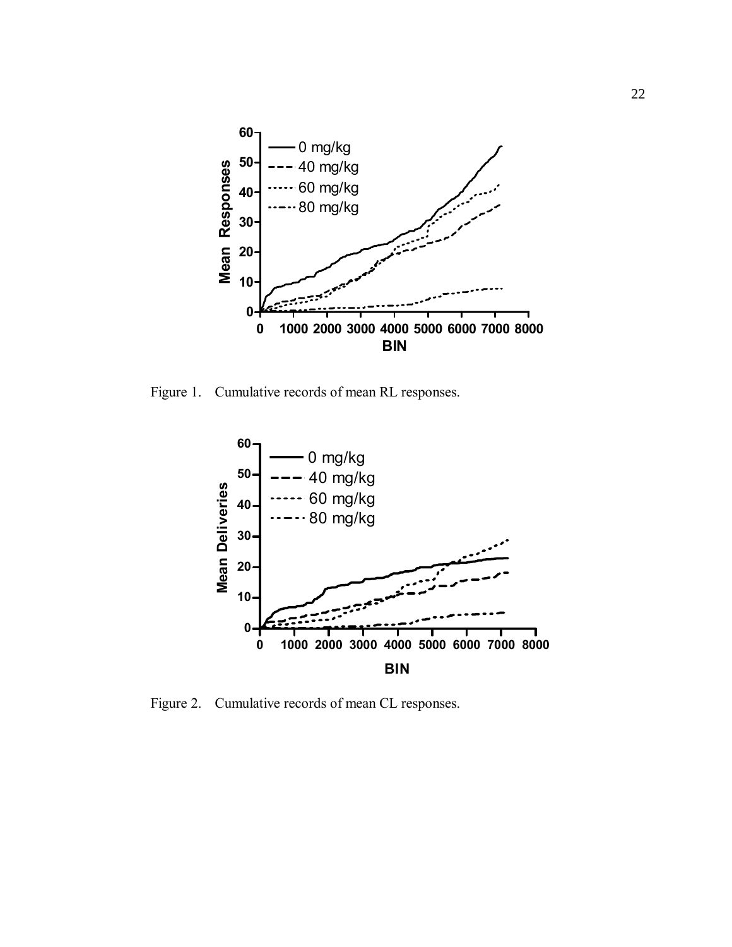

Figure 1. Cumulative records of mean RL responses.



Figure 2. Cumulative records of mean CL responses.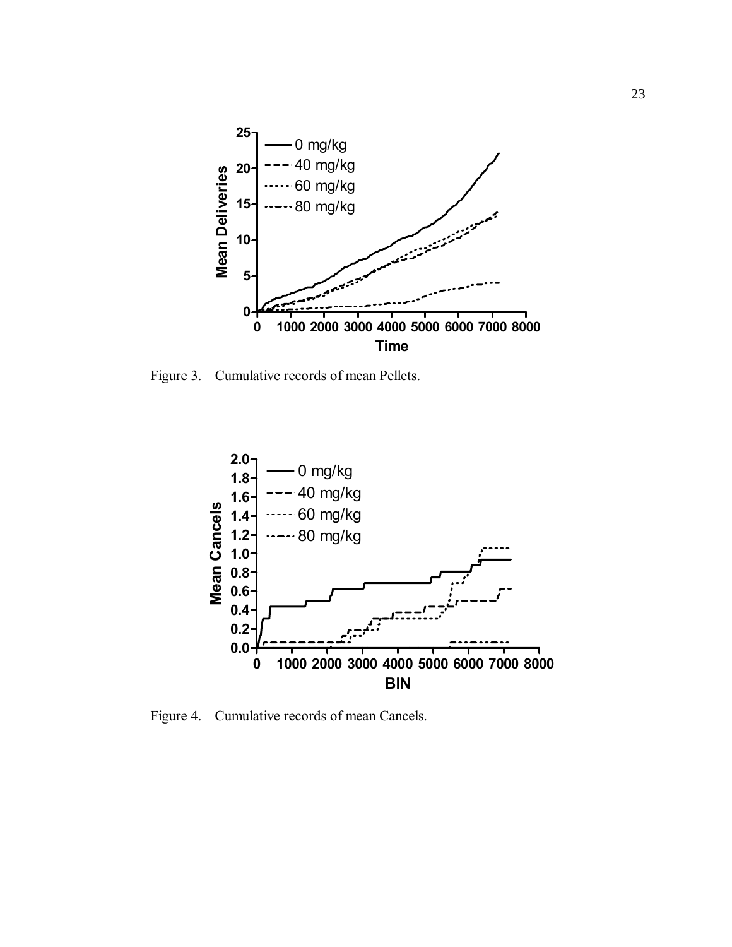

Figure 3. Cumulative records of mean Pellets.



Figure 4. Cumulative records of mean Cancels.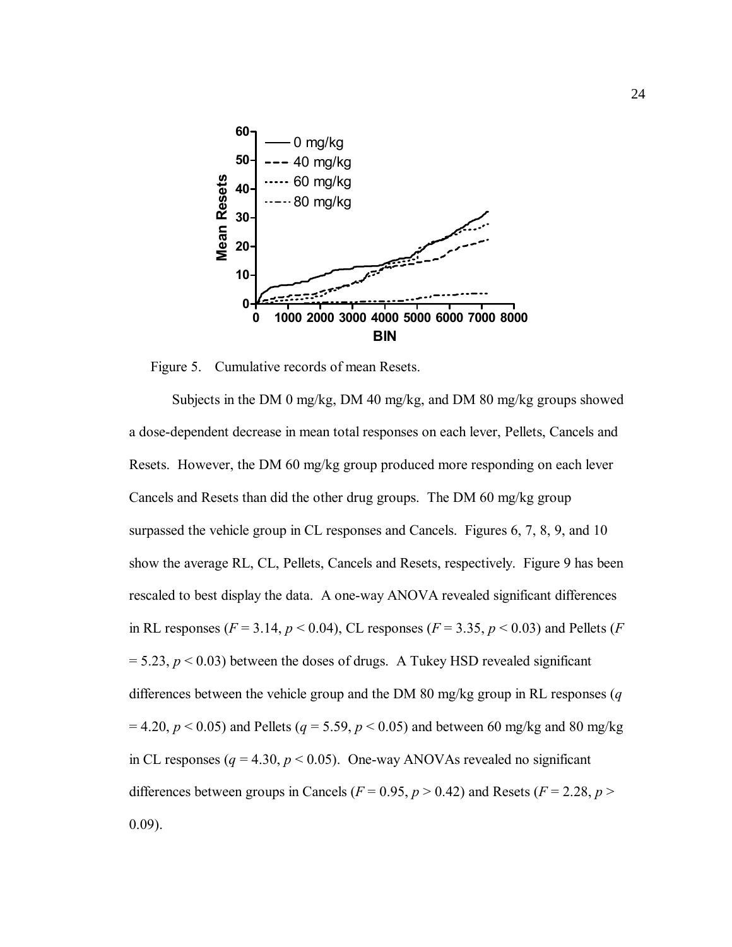

Figure 5. Cumulative records of mean Resets.

Subjects in the DM 0 mg/kg, DM 40 mg/kg, and DM 80 mg/kg groups showed a dose-dependent decrease in mean total responses on each lever, Pellets, Cancels and Resets. However, the DM 60 mg/kg group produced more responding on each lever Cancels and Resets than did the other drug groups. The DM 60 mg/kg group surpassed the vehicle group in CL responses and Cancels. Figures 6, 7, 8, 9, and 10 show the average RL, CL, Pellets, Cancels and Resets, respectively. Figure 9 has been rescaled to best display the data. A one-way ANOVA revealed significant differences in RL responses ( $F = 3.14$ ,  $p < 0.04$ ), CL responses ( $F = 3.35$ ,  $p < 0.03$ ) and Pellets ( $F = 1.4$  $= 5.23$ ,  $p < 0.03$ ) between the doses of drugs. A Tukey HSD revealed significant differences between the vehicle group and the DM 80 mg/kg group in RL responses (*q*  $= 4.20, p < 0.05$ ) and Pellets ( $q = 5.59, p < 0.05$ ) and between 60 mg/kg and 80 mg/kg in CL responses ( $q = 4.30$ ,  $p < 0.05$ ). One-way ANOVAs revealed no significant differences between groups in Cancels ( $F = 0.95$ ,  $p > 0.42$ ) and Resets ( $F = 2.28$ ,  $p >$ 0.09).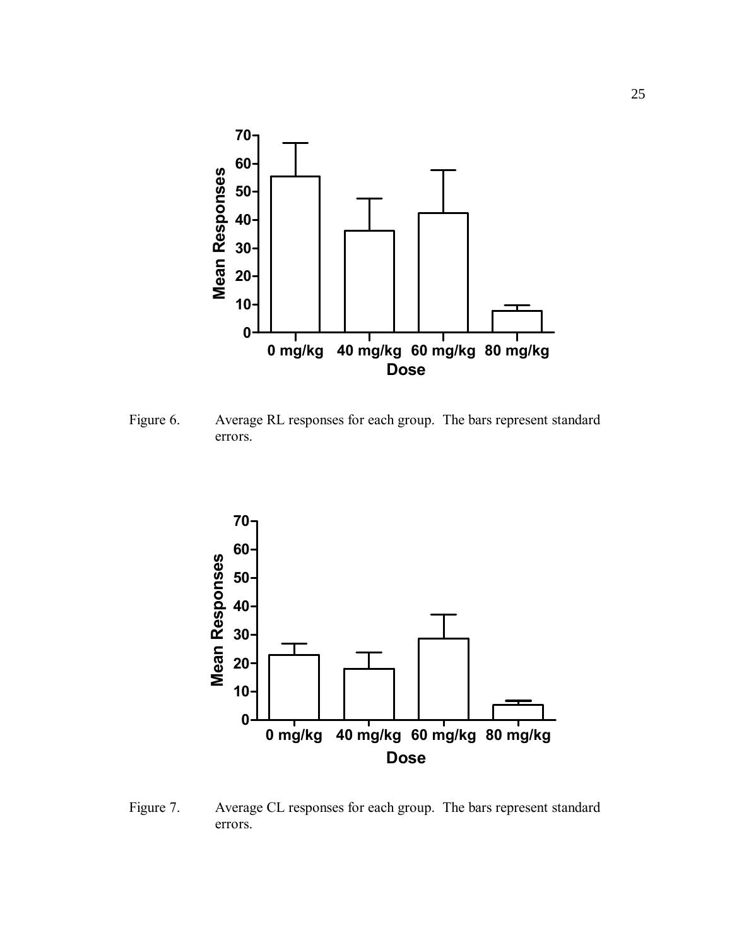

Figure 6. Average RL responses for each group. The bars represent standard errors.



Figure 7. Average CL responses for each group. The bars represent standard errors.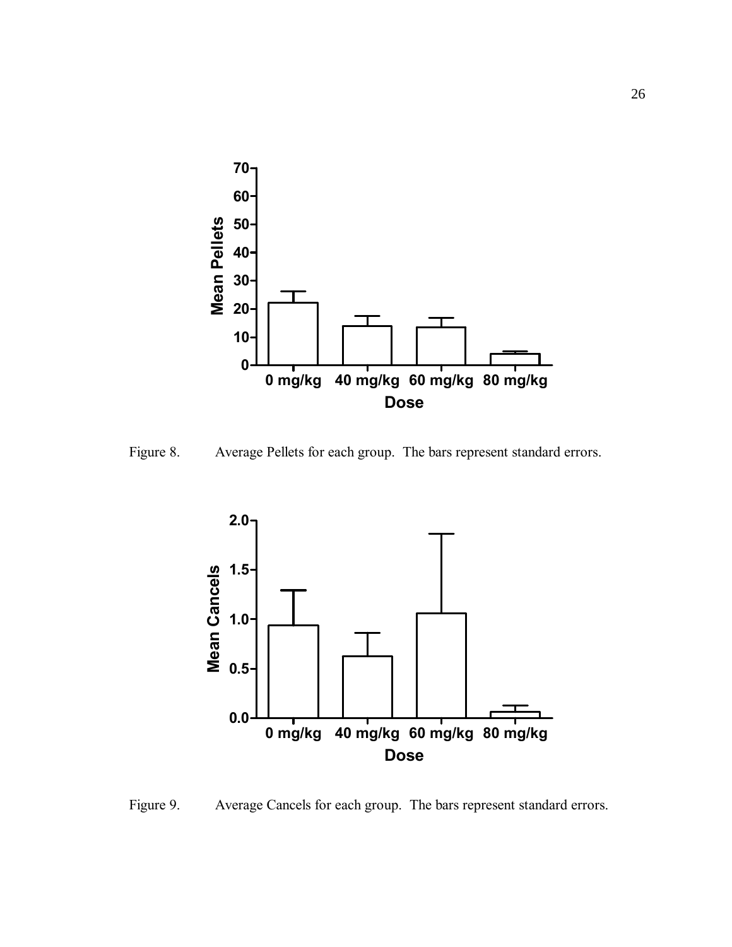

Figure 8. Average Pellets for each group. The bars represent standard errors.



Figure 9. Average Cancels for each group. The bars represent standard errors.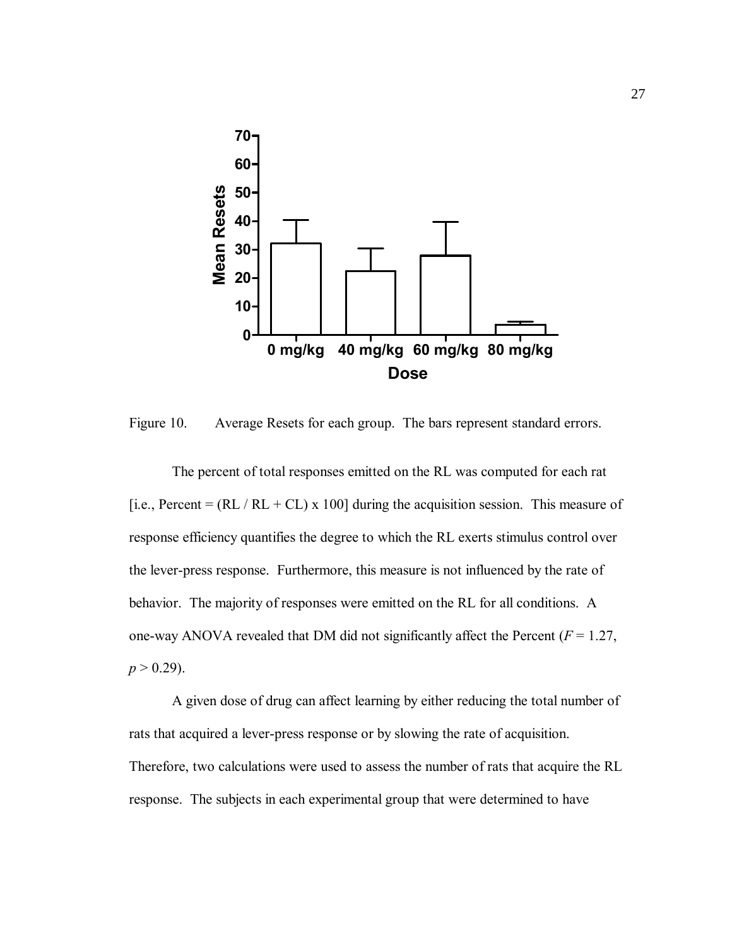

Figure 10. Average Resets for each group. The bars represent standard errors.

The percent of total responses emitted on the RL was computed for each rat [i.e., Percent =  $(RL / RL + CL)$  x 100] during the acquisition session. This measure of response efficiency quantifies the degree to which the RL exerts stimulus control over the lever-press response. Furthermore, this measure is not influenced by the rate of behavior. The majority of responses were emitted on the RL for all conditions. A one-way ANOVA revealed that DM did not significantly affect the Percent  $(F = 1.27)$ ,  $p > 0.29$ ).

A given dose of drug can affect learning by either reducing the total number of rats that acquired a lever-press response or by slowing the rate of acquisition. Therefore, two calculations were used to assess the number of rats that acquire the RL response. The subjects in each experimental group that were determined to have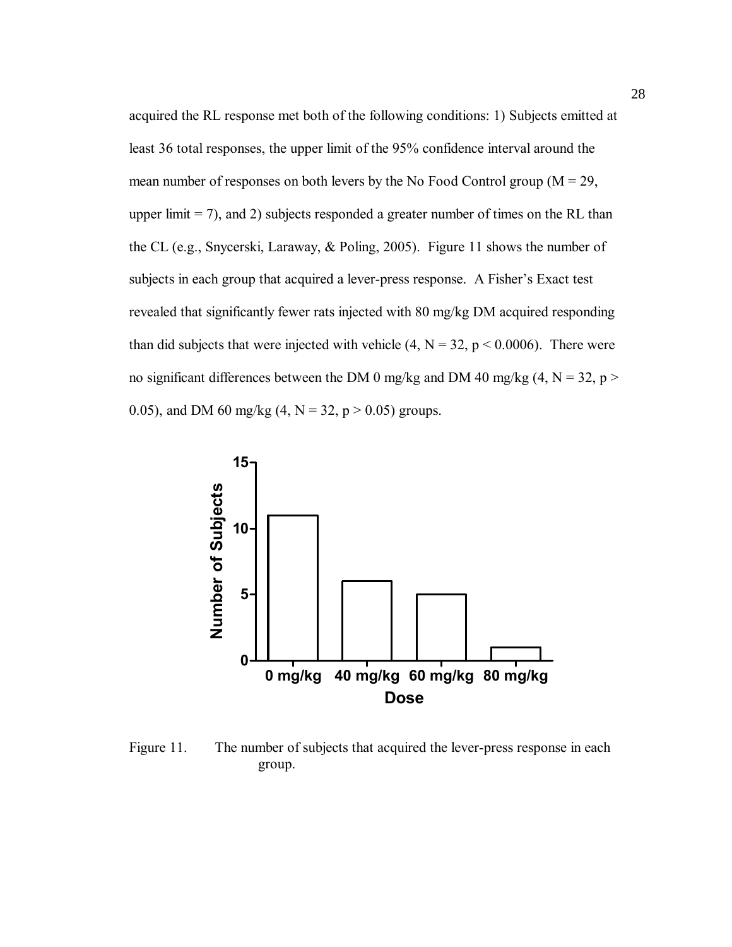acquired the RL response met both of the following conditions: 1) Subjects emitted at least 36 total responses, the upper limit of the 95% confidence interval around the mean number of responses on both levers by the No Food Control group ( $M = 29$ , upper limit  $= 7$ ), and 2) subjects responded a greater number of times on the RL than the CL (e.g., Snycerski, Laraway, & Poling, 2005). Figure 11 shows the number of subjects in each group that acquired a lever-press response. A Fisher's Exact test revealed that significantly fewer rats injected with 80 mg/kg DM acquired responding than did subjects that were injected with vehicle  $(4, N = 32, p < 0.0006)$ . There were no significant differences between the DM 0 mg/kg and DM 40 mg/kg (4,  $N = 32$ , p > 0.05), and DM 60 mg/kg  $(4, N = 32, p > 0.05)$  groups.



Figure 11. The number of subjects that acquired the lever-press response in each group.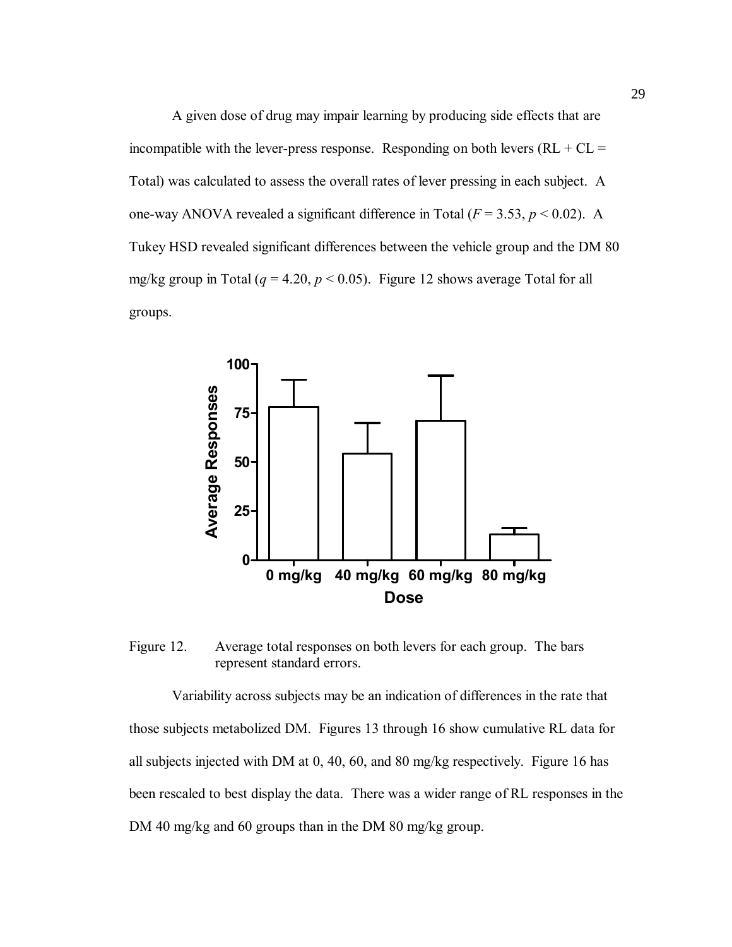A given dose of drug may impair learning by producing side effects that are incompatible with the lever-press response. Responding on both levers  $(RL + CL =$ Total) was calculated to assess the overall rates of lever pressing in each subject. A one-way ANOVA revealed a significant difference in Total  $(F = 3.53, p \le 0.02)$ . A Tukey HSD revealed significant differences between the vehicle group and the DM 80 mg/kg group in Total ( $q = 4.20$ ,  $p < 0.05$ ). Figure 12 shows average Total for all groups.



Figure 12. Average total responses on both levers for each group. The bars represent standard errors.

Variability across subjects may be an indication of differences in the rate that those subjects metabolized DM. Figures 13 through 16 show cumulative RL data for all subjects injected with DM at 0, 40, 60, and 80 mg/kg respectively. Figure 16 has been rescaled to best display the data. There was a wider range of RL responses in the DM 40 mg/kg and 60 groups than in the DM 80 mg/kg group.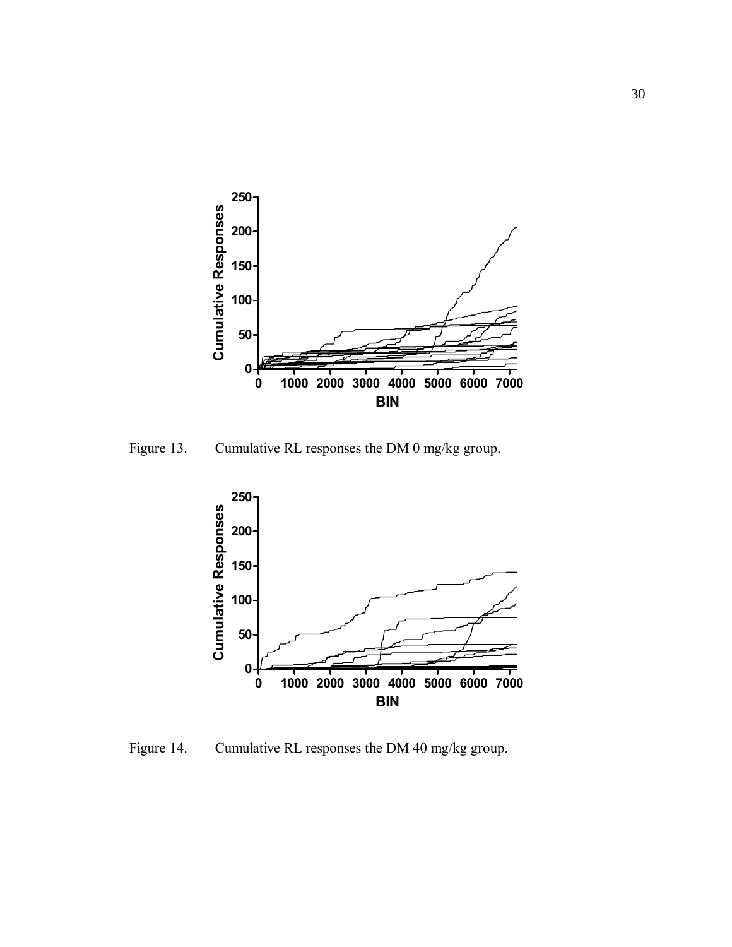

Figure 13. Cumulative RL responses the DM 0 mg/kg group.



Figure 14. Cumulative RL responses the DM 40 mg/kg group.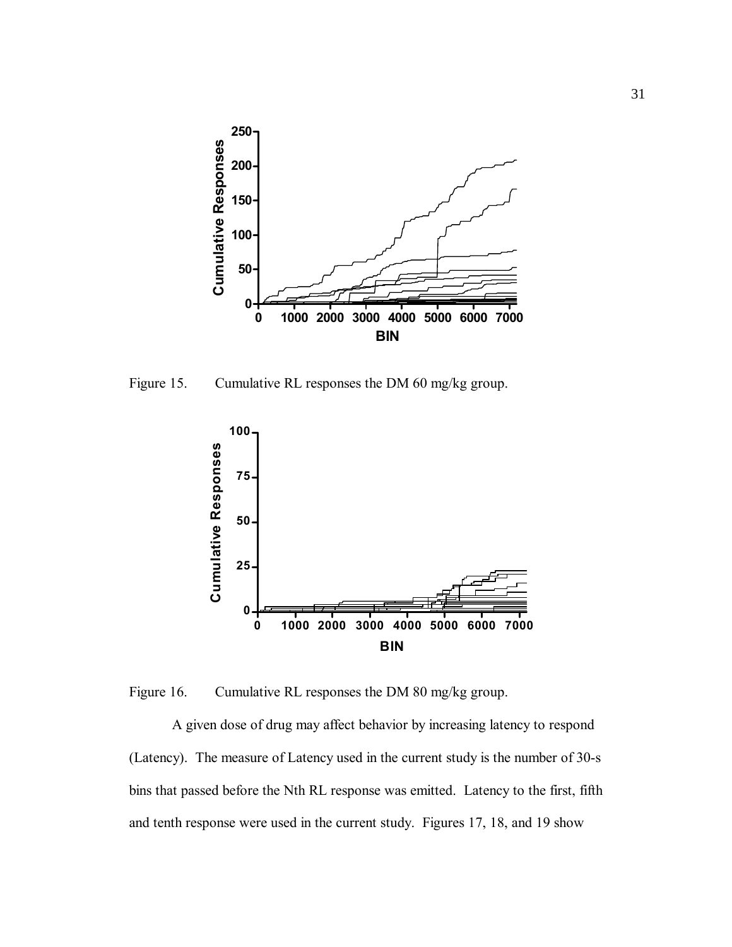

Figure 15. Cumulative RL responses the DM 60 mg/kg group.



Figure 16. Cumulative RL responses the DM 80 mg/kg group.

A given dose of drug may affect behavior by increasing latency to respond (Latency). The measure of Latency used in the current study is the number of 30-s bins that passed before the Nth RL response was emitted. Latency to the first, fifth and tenth response were used in the current study. Figures 17, 18, and 19 show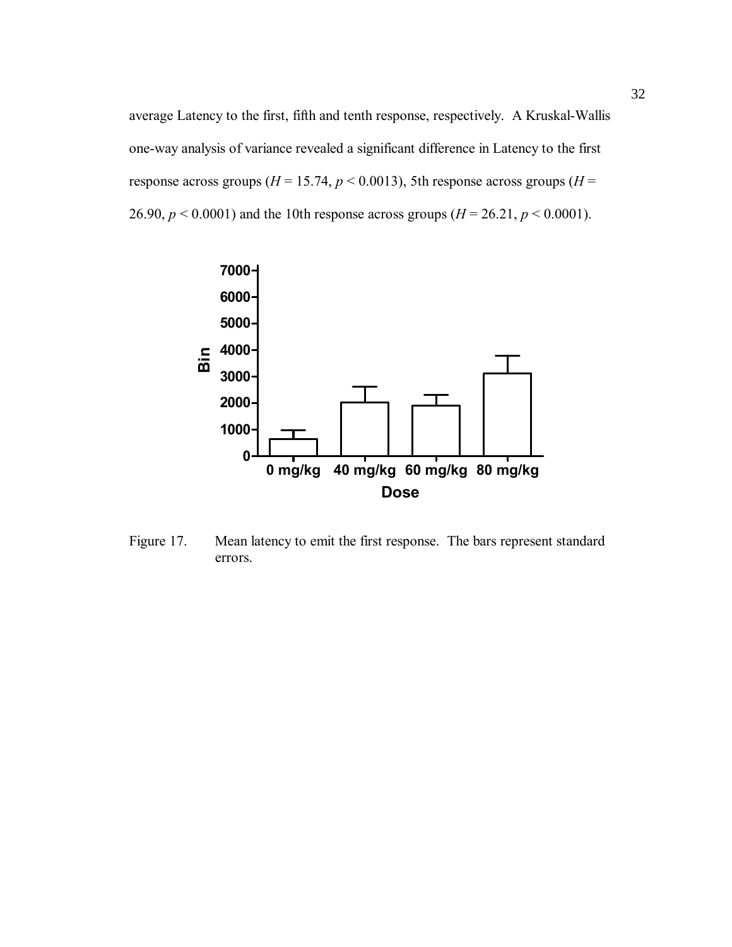average Latency to the first, fifth and tenth response, respectively. A Kruskal-Wallis one-way analysis of variance revealed a significant difference in Latency to the first response across groups ( $H = 15.74$ ,  $p < 0.0013$ ), 5th response across groups ( $H =$ 26.90,  $p < 0.0001$ ) and the 10th response across groups ( $H = 26.21$ ,  $p < 0.0001$ ).



Figure 17. Mean latency to emit the first response. The bars represent standard errors.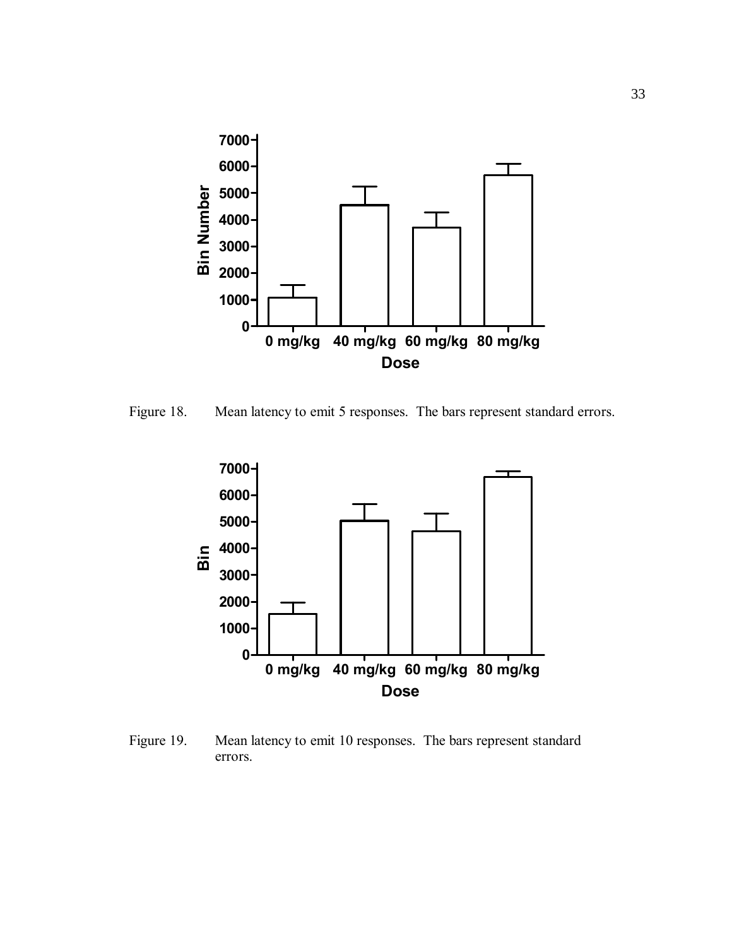

Figure 18. Mean latency to emit 5 responses. The bars represent standard errors.



Figure 19. Mean latency to emit 10 responses. The bars represent standard errors.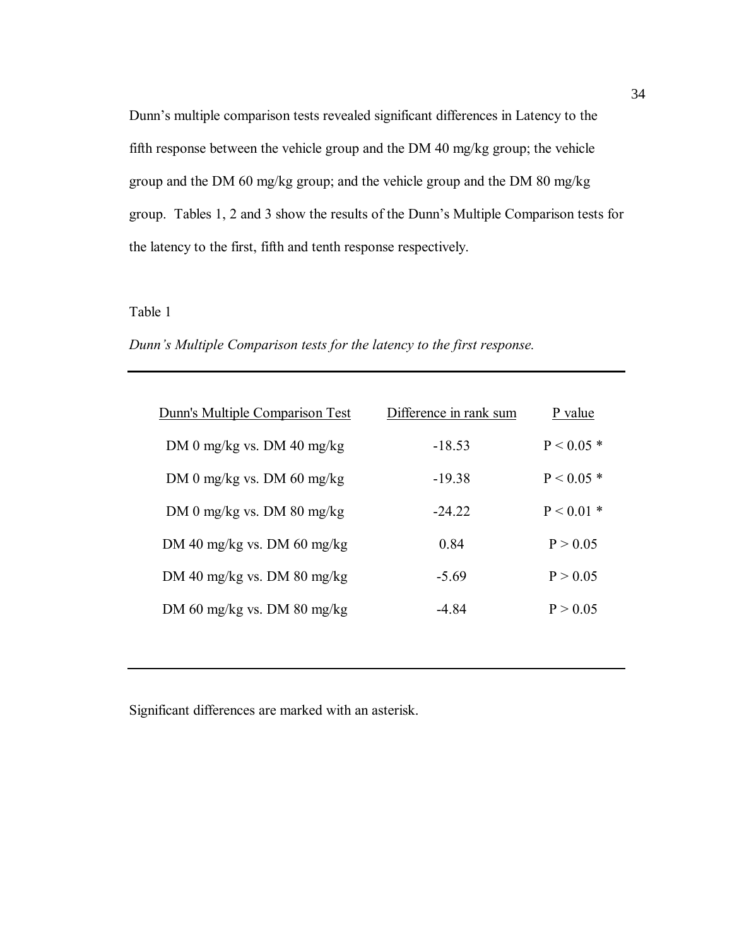Dunn's multiple comparison tests revealed significant differences in Latency to the fifth response between the vehicle group and the DM 40 mg/kg group; the vehicle group and the DM 60 mg/kg group; and the vehicle group and the DM 80 mg/kg group. Tables 1, 2 and 3 show the results of the Dunn's Multiple Comparison tests for the latency to the first, fifth and tenth response respectively.

#### Table 1

| Dunn's Multiple Comparison tests for the latency to the first response. |  |  |  |
|-------------------------------------------------------------------------|--|--|--|
|-------------------------------------------------------------------------|--|--|--|

| Dunn's Multiple Comparison Test | Difference in rank sum | P value      |
|---------------------------------|------------------------|--------------|
| DM 0 mg/kg vs. DM 40 mg/kg      | $-18.53$               | $P < 0.05*$  |
| DM 0 mg/kg vs. DM 60 mg/kg      | $-19.38$               | $P < 0.05*$  |
| DM 0 mg/kg vs. DM 80 mg/kg      | $-24.22$               | $P < 0.01$ * |
| DM 40 mg/kg vs. DM 60 mg/kg     | 0.84                   | P > 0.05     |
| DM 40 mg/kg vs. DM 80 mg/kg     | $-5.69$                | P > 0.05     |
| DM 60 mg/kg vs. DM 80 mg/kg     | -4 84                  | P > 0.05     |

Significant differences are marked with an asterisk.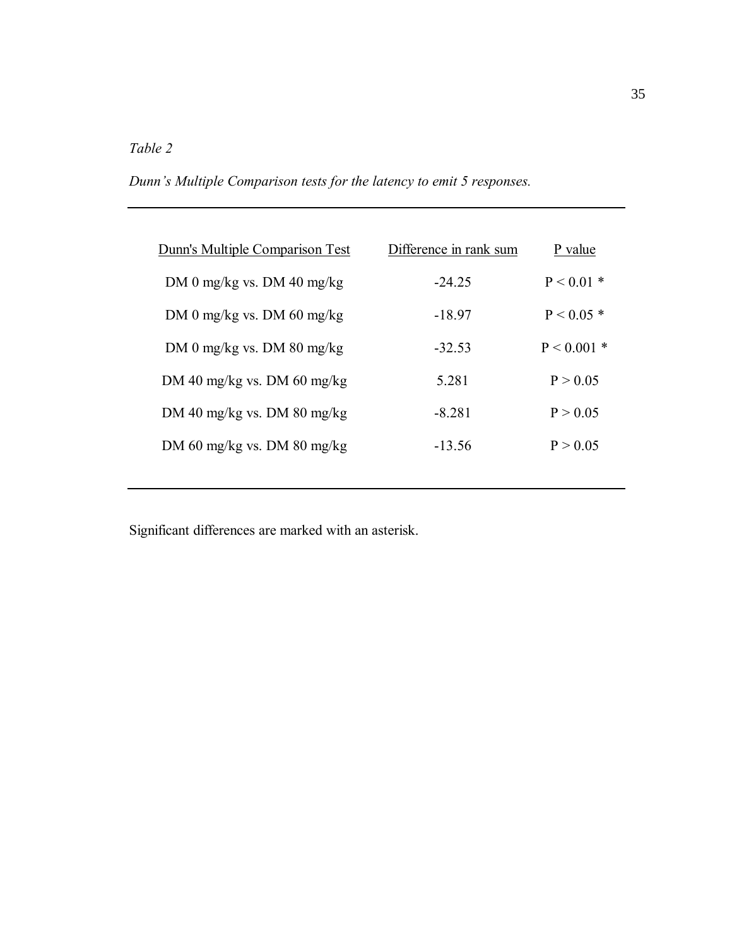# *Table 2*

*Dunnís Multiple Comparison tests for the latency to emit 5 responses.*

| Dunn's Multiple Comparison Test | Difference in rank sum | P value       |
|---------------------------------|------------------------|---------------|
| DM 0 mg/kg vs. DM 40 mg/kg      | $-2425$                | $P < 0.01$ *  |
| DM 0 mg/kg vs. DM 60 mg/kg      | -18.97                 | $P < 0.05*$   |
| DM 0 mg/kg vs. DM 80 mg/kg      | $-32.53$               | $P < 0.001$ * |
| DM 40 mg/kg vs. DM 60 mg/kg     | 5.281                  | P > 0.05      |
| DM 40 mg/kg vs. DM 80 mg/kg     | -8 281                 | P > 0.05      |
| DM 60 mg/kg vs. DM 80 mg/kg     | $-13.56$               | P > 0.05      |
|                                 |                        |               |

Significant differences are marked with an asterisk.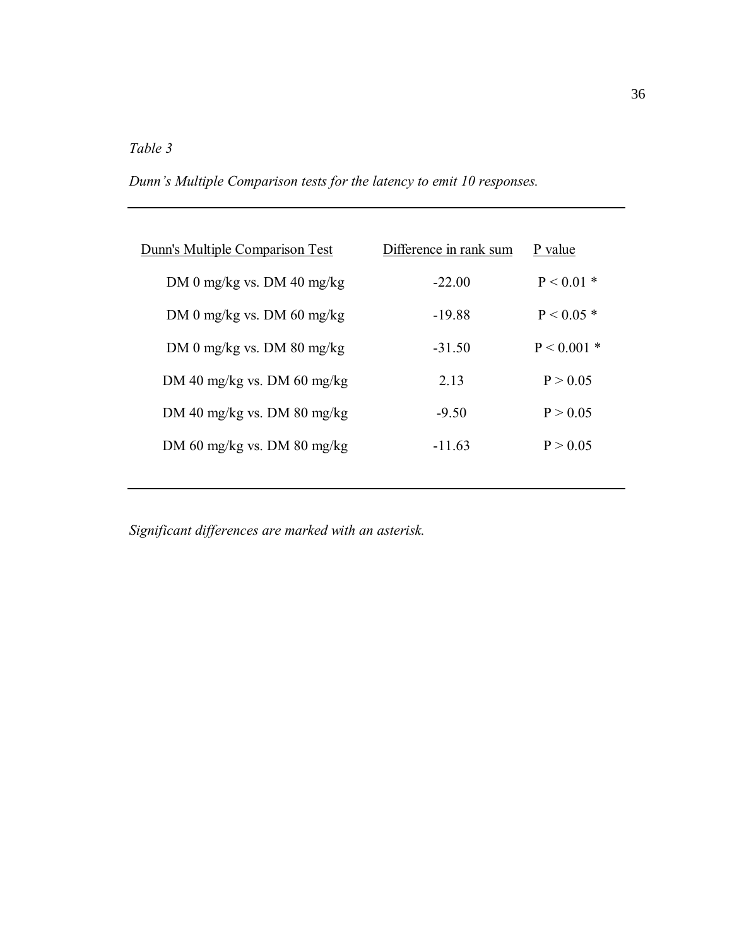# *Table 3*

*Dunnís Multiple Comparison tests for the latency to emit 10 responses.* 

| Difference in rank sum | P value       |
|------------------------|---------------|
| $-22.00$               | $P < 0.01$ *  |
| $-19.88$               | $P < 0.05*$   |
| $-31.50$               | $P < 0.001$ * |
| 2.13                   | P > 0.05      |
| $-9.50$                | P > 0.05      |
| $-11.63$               | P > 0.05      |
|                        |               |

*Significant differences are marked with an asterisk.*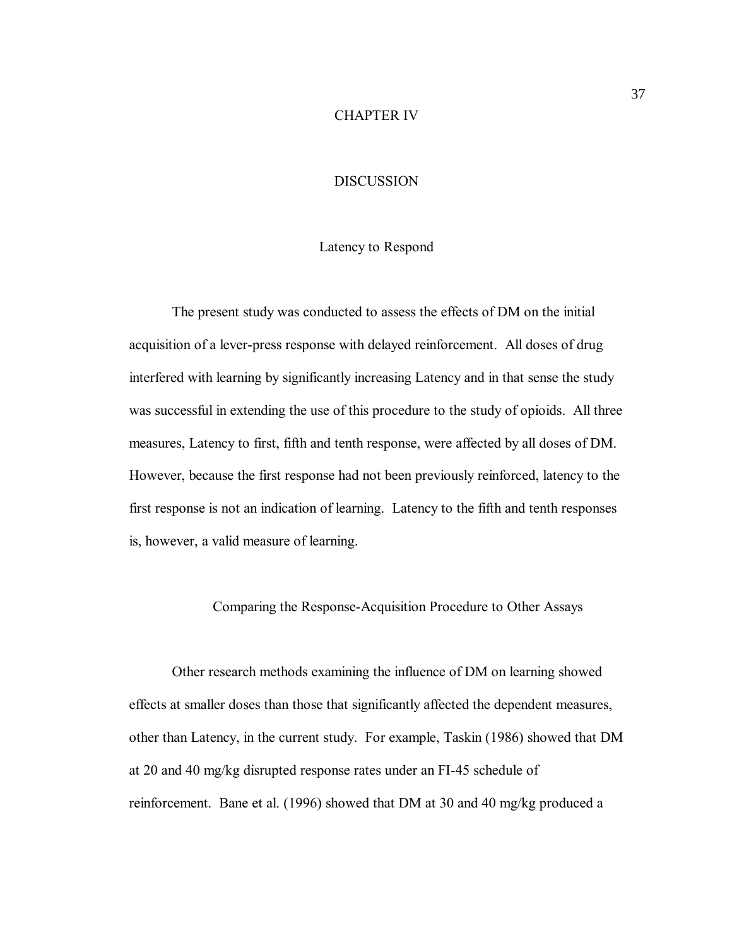#### CHAPTER IV

#### **DISCUSSION**

#### Latency to Respond

The present study was conducted to assess the effects of DM on the initial acquisition of a lever-press response with delayed reinforcement. All doses of drug interfered with learning by significantly increasing Latency and in that sense the study was successful in extending the use of this procedure to the study of opioids. All three measures, Latency to first, fifth and tenth response, were affected by all doses of DM. However, because the first response had not been previously reinforced, latency to the first response is not an indication of learning. Latency to the fifth and tenth responses is, however, a valid measure of learning.

Comparing the Response-Acquisition Procedure to Other Assays

Other research methods examining the influence of DM on learning showed effects at smaller doses than those that significantly affected the dependent measures, other than Latency, in the current study. For example, Taskin (1986) showed that DM at 20 and 40 mg/kg disrupted response rates under an FI-45 schedule of reinforcement. Bane et al. (1996) showed that DM at 30 and 40 mg/kg produced a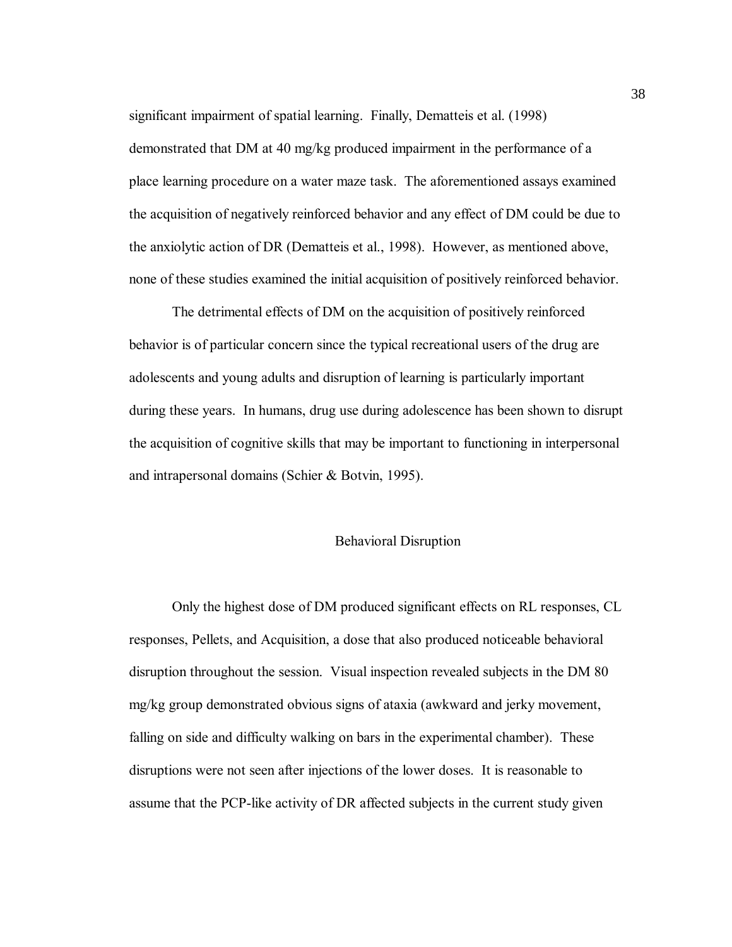significant impairment of spatial learning. Finally, Dematteis et al. (1998) demonstrated that DM at 40 mg/kg produced impairment in the performance of a place learning procedure on a water maze task. The aforementioned assays examined the acquisition of negatively reinforced behavior and any effect of DM could be due to the anxiolytic action of DR (Dematteis et al., 1998). However, as mentioned above, none of these studies examined the initial acquisition of positively reinforced behavior.

The detrimental effects of DM on the acquisition of positively reinforced behavior is of particular concern since the typical recreational users of the drug are adolescents and young adults and disruption of learning is particularly important during these years. In humans, drug use during adolescence has been shown to disrupt the acquisition of cognitive skills that may be important to functioning in interpersonal and intrapersonal domains (Schier & Botvin, 1995).

#### Behavioral Disruption

Only the highest dose of DM produced significant effects on RL responses, CL responses, Pellets, and Acquisition, a dose that also produced noticeable behavioral disruption throughout the session. Visual inspection revealed subjects in the DM 80 mg/kg group demonstrated obvious signs of ataxia (awkward and jerky movement, falling on side and difficulty walking on bars in the experimental chamber). These disruptions were not seen after injections of the lower doses. It is reasonable to assume that the PCP-like activity of DR affected subjects in the current study given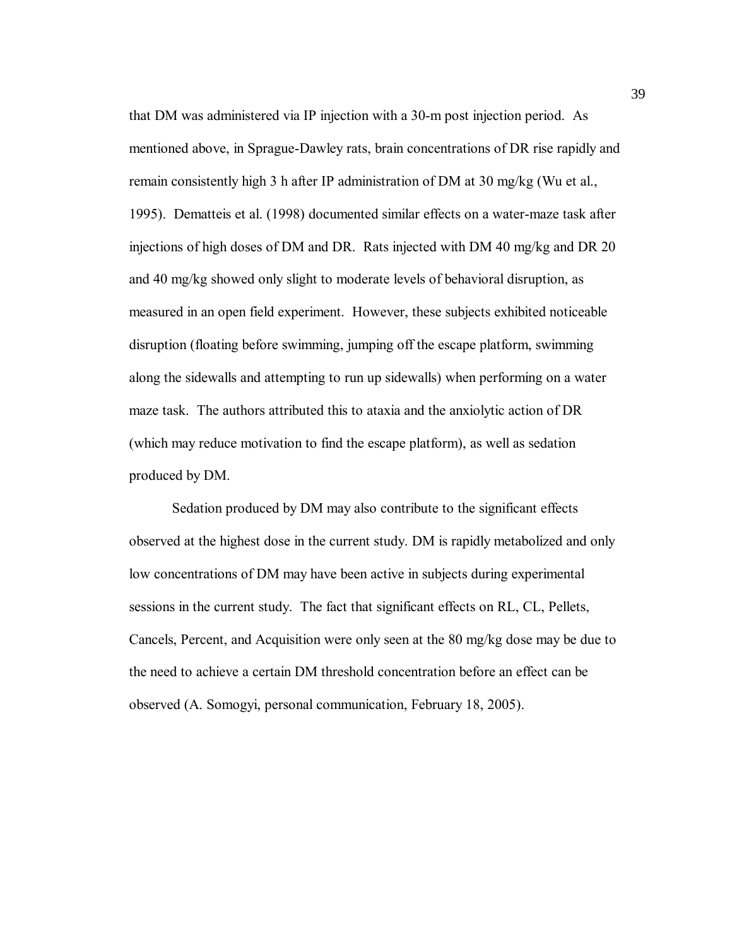that DM was administered via IP injection with a 30-m post injection period. As mentioned above, in Sprague-Dawley rats, brain concentrations of DR rise rapidly and remain consistently high 3 h after IP administration of DM at 30 mg/kg (Wu et al., 1995). Dematteis et al. (1998) documented similar effects on a water-maze task after injections of high doses of DM and DR. Rats injected with DM 40 mg/kg and DR 20 and 40 mg/kg showed only slight to moderate levels of behavioral disruption, as measured in an open field experiment. However, these subjects exhibited noticeable disruption (floating before swimming, jumping off the escape platform, swimming along the sidewalls and attempting to run up sidewalls) when performing on a water maze task. The authors attributed this to ataxia and the anxiolytic action of DR (which may reduce motivation to find the escape platform), as well as sedation produced by DM.

Sedation produced by DM may also contribute to the significant effects observed at the highest dose in the current study. DM is rapidly metabolized and only low concentrations of DM may have been active in subjects during experimental sessions in the current study. The fact that significant effects on RL, CL, Pellets, Cancels, Percent, and Acquisition were only seen at the 80 mg/kg dose may be due to the need to achieve a certain DM threshold concentration before an effect can be observed (A. Somogyi, personal communication, February 18, 2005).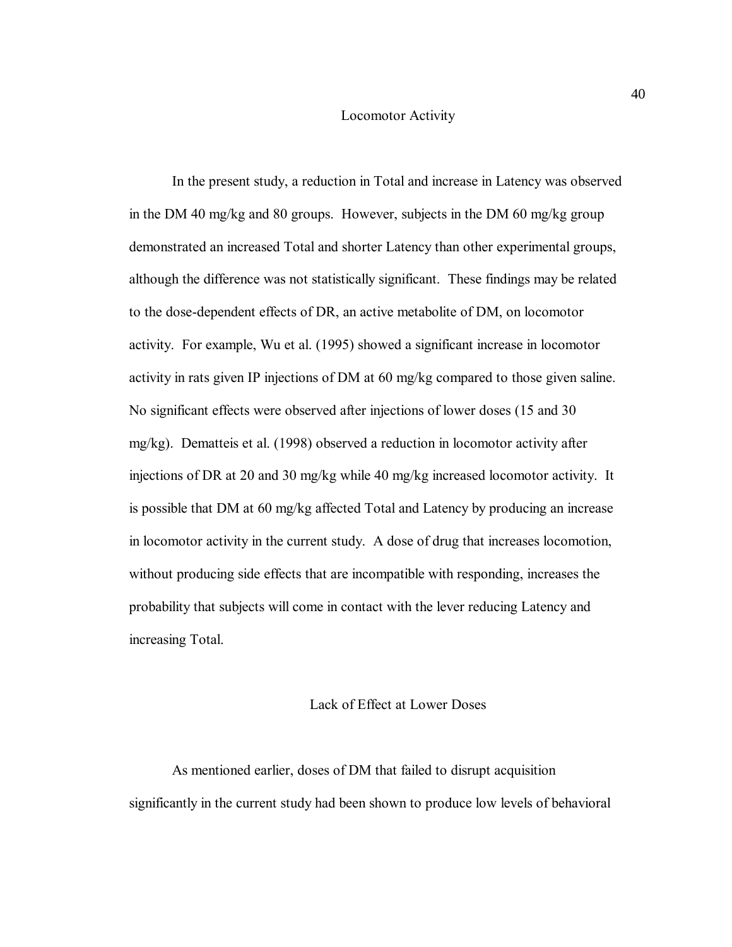#### Locomotor Activity

In the present study, a reduction in Total and increase in Latency was observed in the DM 40 mg/kg and 80 groups. However, subjects in the DM 60 mg/kg group demonstrated an increased Total and shorter Latency than other experimental groups, although the difference was not statistically significant. These findings may be related to the dose-dependent effects of DR, an active metabolite of DM, on locomotor activity. For example, Wu et al. (1995) showed a significant increase in locomotor activity in rats given IP injections of DM at 60 mg/kg compared to those given saline. No significant effects were observed after injections of lower doses (15 and 30 mg/kg). Dematteis et al. (1998) observed a reduction in locomotor activity after injections of DR at 20 and 30 mg/kg while 40 mg/kg increased locomotor activity. It is possible that DM at 60 mg/kg affected Total and Latency by producing an increase in locomotor activity in the current study. A dose of drug that increases locomotion, without producing side effects that are incompatible with responding, increases the probability that subjects will come in contact with the lever reducing Latency and increasing Total.

#### Lack of Effect at Lower Doses

As mentioned earlier, doses of DM that failed to disrupt acquisition significantly in the current study had been shown to produce low levels of behavioral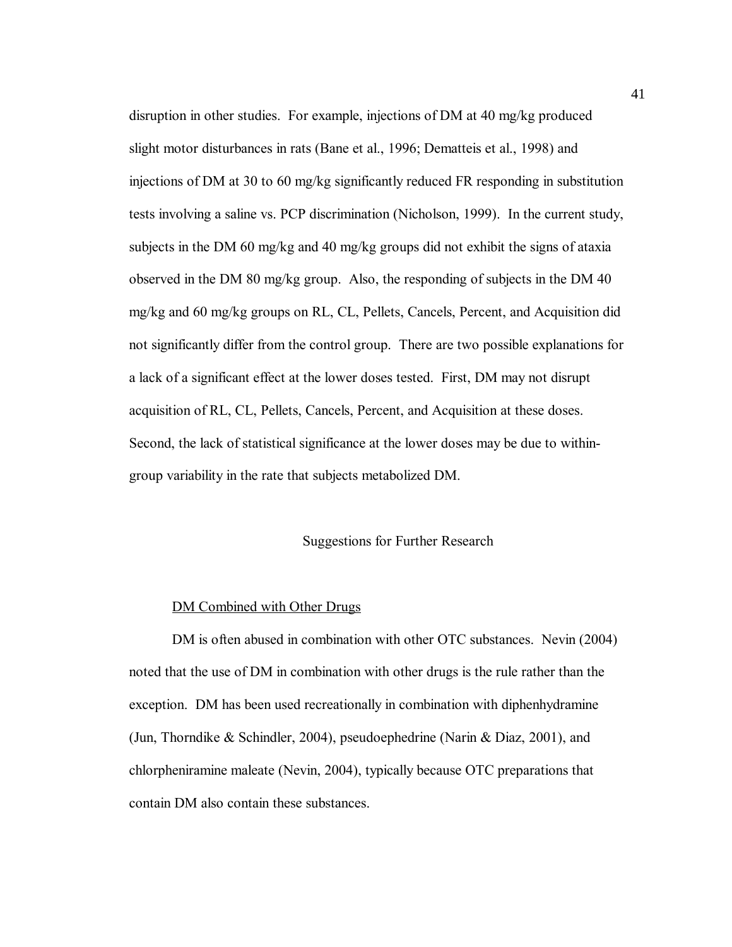disruption in other studies. For example, injections of DM at 40 mg/kg produced slight motor disturbances in rats (Bane et al., 1996; Dematteis et al., 1998) and injections of DM at 30 to 60 mg/kg significantly reduced FR responding in substitution tests involving a saline vs. PCP discrimination (Nicholson, 1999). In the current study, subjects in the DM 60 mg/kg and 40 mg/kg groups did not exhibit the signs of ataxia observed in the DM 80 mg/kg group. Also, the responding of subjects in the DM 40 mg/kg and 60 mg/kg groups on RL, CL, Pellets, Cancels, Percent, and Acquisition did not significantly differ from the control group. There are two possible explanations for a lack of a significant effect at the lower doses tested. First, DM may not disrupt acquisition of RL, CL, Pellets, Cancels, Percent, and Acquisition at these doses. Second, the lack of statistical significance at the lower doses may be due to withingroup variability in the rate that subjects metabolized DM.

#### Suggestions for Further Research

#### DM Combined with Other Drugs

DM is often abused in combination with other OTC substances. Nevin (2004) noted that the use of DM in combination with other drugs is the rule rather than the exception. DM has been used recreationally in combination with diphenhydramine (Jun, Thorndike & Schindler, 2004), pseudoephedrine (Narin & Diaz, 2001), and chlorpheniramine maleate (Nevin, 2004), typically because OTC preparations that contain DM also contain these substances.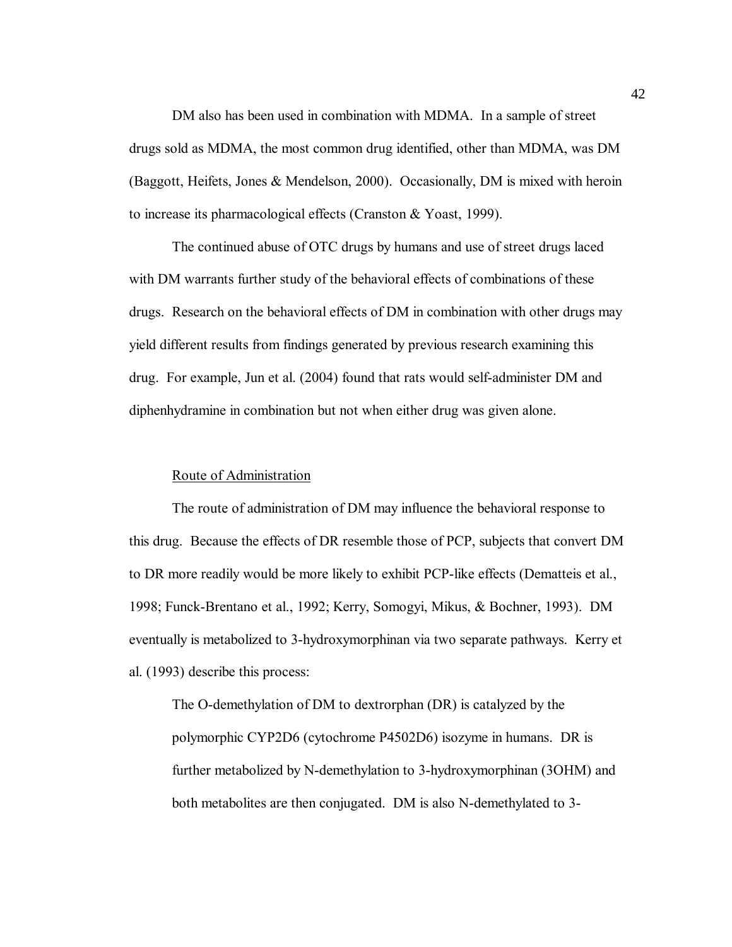DM also has been used in combination with MDMA. In a sample of street drugs sold as MDMA, the most common drug identified, other than MDMA, was DM (Baggott, Heifets, Jones & Mendelson, 2000). Occasionally, DM is mixed with heroin to increase its pharmacological effects (Cranston & Yoast, 1999).

The continued abuse of OTC drugs by humans and use of street drugs laced with DM warrants further study of the behavioral effects of combinations of these drugs. Research on the behavioral effects of DM in combination with other drugs may yield different results from findings generated by previous research examining this drug. For example, Jun et al. (2004) found that rats would self-administer DM and diphenhydramine in combination but not when either drug was given alone.

#### Route of Administration

The route of administration of DM may influence the behavioral response to this drug. Because the effects of DR resemble those of PCP, subjects that convert DM to DR more readily would be more likely to exhibit PCP-like effects (Dematteis et al., 1998; Funck-Brentano et al., 1992; Kerry, Somogyi, Mikus, & Bochner, 1993). DM eventually is metabolized to 3-hydroxymorphinan via two separate pathways. Kerry et al. (1993) describe this process:

The O-demethylation of DM to dextrorphan (DR) is catalyzed by the polymorphic CYP2D6 (cytochrome P4502D6) isozyme in humans. DR is further metabolized by N-demethylation to 3-hydroxymorphinan (3OHM) and both metabolites are then conjugated. DM is also N-demethylated to 3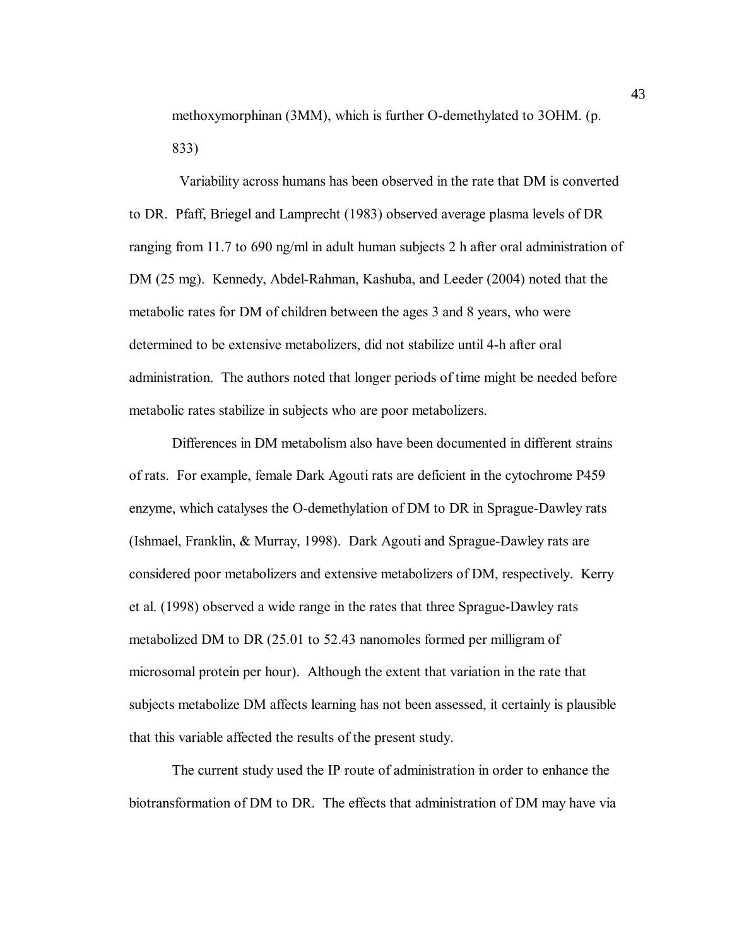methoxymorphinan (3MM), which is further O-demethylated to 3OHM. (p. 833)

 Variability across humans has been observed in the rate that DM is converted to DR. Pfaff, Briegel and Lamprecht (1983) observed average plasma levels of DR ranging from 11.7 to 690 ng/ml in adult human subjects 2 h after oral administration of DM (25 mg). Kennedy, Abdel-Rahman, Kashuba, and Leeder (2004) noted that the metabolic rates for DM of children between the ages 3 and 8 years, who were determined to be extensive metabolizers, did not stabilize until 4-h after oral administration. The authors noted that longer periods of time might be needed before metabolic rates stabilize in subjects who are poor metabolizers.

Differences in DM metabolism also have been documented in different strains of rats. For example, female Dark Agouti rats are deficient in the cytochrome P459 enzyme, which catalyses the O-demethylation of DM to DR in Sprague-Dawley rats (Ishmael, Franklin, & Murray, 1998). Dark Agouti and Sprague-Dawley rats are considered poor metabolizers and extensive metabolizers of DM, respectively. Kerry et al. (1998) observed a wide range in the rates that three Sprague-Dawley rats metabolized DM to DR (25.01 to 52.43 nanomoles formed per milligram of microsomal protein per hour). Although the extent that variation in the rate that subjects metabolize DM affects learning has not been assessed, it certainly is plausible that this variable affected the results of the present study.

The current study used the IP route of administration in order to enhance the biotransformation of DM to DR. The effects that administration of DM may have via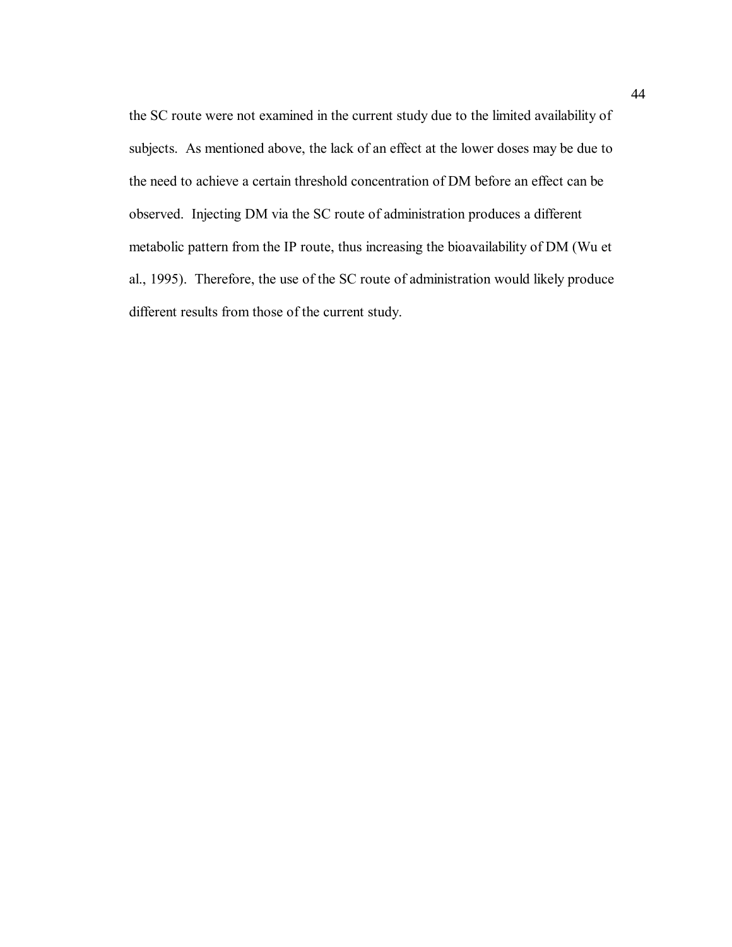the SC route were not examined in the current study due to the limited availability of subjects. As mentioned above, the lack of an effect at the lower doses may be due to the need to achieve a certain threshold concentration of DM before an effect can be observed. Injecting DM via the SC route of administration produces a different metabolic pattern from the IP route, thus increasing the bioavailability of DM (Wu et al., 1995). Therefore, the use of the SC route of administration would likely produce different results from those of the current study.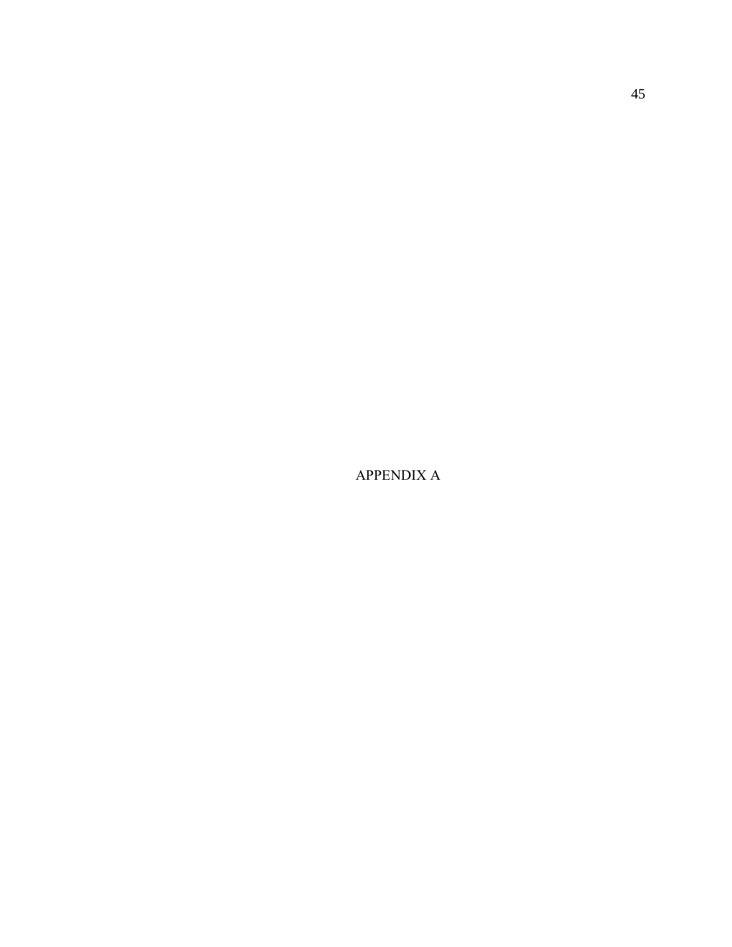APPENDIX A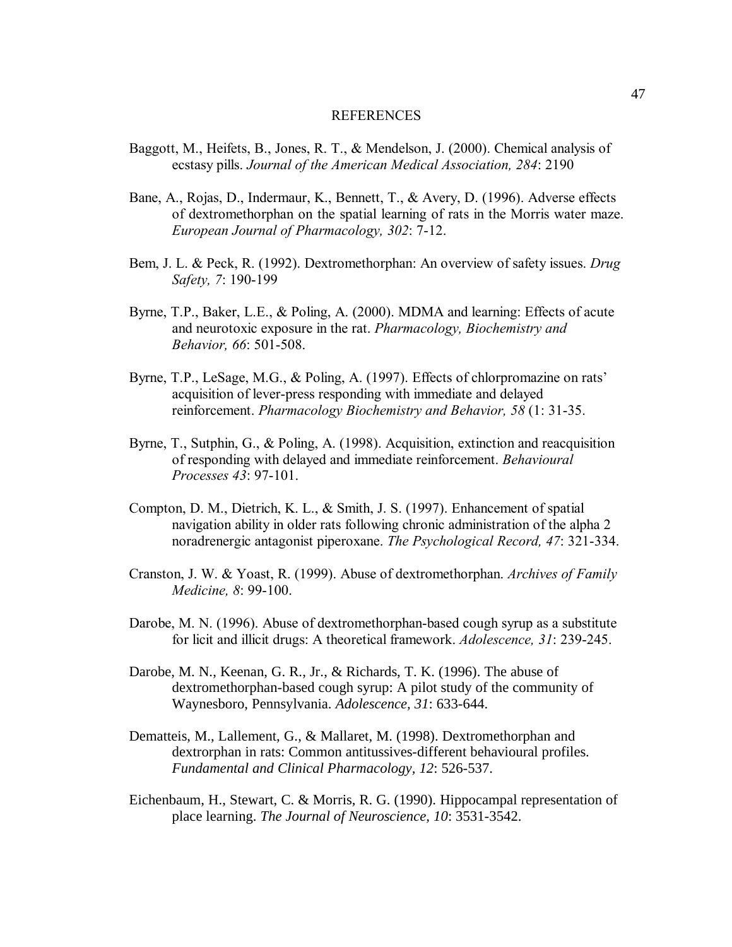#### REFERENCES

- Baggott, M., Heifets, B., Jones, R. T., & Mendelson, J. (2000). Chemical analysis of ecstasy pills. *Journal of the American Medical Association, 284*: 2190
- Bane, A., Rojas, D., Indermaur, K., Bennett, T., & Avery, D. (1996). Adverse effects of dextromethorphan on the spatial learning of rats in the Morris water maze. *European Journal of Pharmacology, 302*: 7-12.
- Bem, J. L. & Peck, R. (1992). Dextromethorphan: An overview of safety issues. *Drug Safety, 7*: 190-199
- Byrne, T.P., Baker, L.E., & Poling, A. (2000). MDMA and learning: Effects of acute and neurotoxic exposure in the rat. *Pharmacology, Biochemistry and Behavior, 66*: 501-508.
- Byrne, T.P., LeSage, M.G., & Poling, A. (1997). Effects of chlorpromazine on rats<sup>'</sup> acquisition of lever-press responding with immediate and delayed reinforcement. *Pharmacology Biochemistry and Behavior, 58* (1: 31-35.
- Byrne, T., Sutphin, G., & Poling, A. (1998). Acquisition, extinction and reacquisition of responding with delayed and immediate reinforcement. *Behavioural Processes 43*: 97-101.
- Compton, D. M., Dietrich, K. L., & Smith, J. S. (1997). Enhancement of spatial navigation ability in older rats following chronic administration of the alpha 2 noradrenergic antagonist piperoxane. *The Psychological Record, 47*: 321-334.
- Cranston, J. W. & Yoast, R. (1999). Abuse of dextromethorphan. *Archives of Family Medicine, 8*: 99-100.
- Darobe, M. N. (1996). Abuse of dextromethorphan-based cough syrup as a substitute for licit and illicit drugs: A theoretical framework. *Adolescence, 31*: 239-245.
- Darobe, M. N., Keenan, G. R., Jr., & Richards, T. K. (1996). The abuse of dextromethorphan-based cough syrup: A pilot study of the community of Waynesboro, Pennsylvania. *Adolescence, 31*: 633-644.
- Dematteis, M., Lallement, G., & Mallaret, M. (1998). Dextromethorphan and dextrorphan in rats: Common antitussives-different behavioural profiles. *Fundamental and Clinical Pharmacology, 12*: 526-537.
- Eichenbaum, H., Stewart, C. & Morris, R. G. (1990). Hippocampal representation of place learning. *The Journal of Neuroscience, 10*: 3531-3542.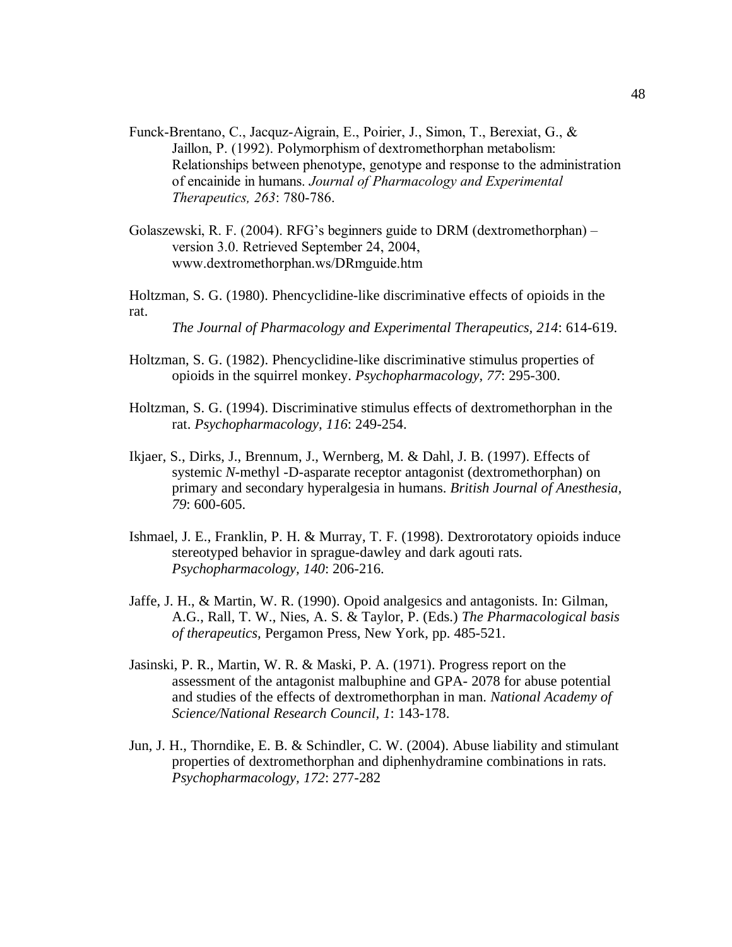- Funck-Brentano, C., Jacquz-Aigrain, E., Poirier, J., Simon, T., Berexiat, G., & Jaillon, P. (1992). Polymorphism of dextromethorphan metabolism: Relationships between phenotype, genotype and response to the administration of encainide in humans. *Journal of Pharmacology and Experimental Therapeutics, 263*: 780-786.
- Golaszewski, R. F. (2004). RFG's beginners guide to DRM (dextromethorphan) version 3.0. Retrieved September 24, 2004, www.dextromethorphan.ws/DRmguide.htm
- Holtzman, S. G. (1980). Phencyclidine-like discriminative effects of opioids in the rat.

*The Journal of Pharmacology and Experimental Therapeutics, 214*: 614-619.

- Holtzman, S. G. (1982). Phencyclidine-like discriminative stimulus properties of opioids in the squirrel monkey. *Psychopharmacology, 77*: 295-300.
- Holtzman, S. G. (1994). Discriminative stimulus effects of dextromethorphan in the rat. *Psychopharmacology, 116*: 249-254.
- Ikjaer, S., Dirks, J., Brennum, J., Wernberg, M. & Dahl, J. B. (1997). Effects of systemic *N*-methyl -D-asparate receptor antagonist (dextromethorphan) on primary and secondary hyperalgesia in humans. *British Journal of Anesthesia, 79*: 600-605.
- Ishmael, J. E., Franklin, P. H. & Murray, T. F. (1998). Dextrorotatory opioids induce stereotyped behavior in sprague-dawley and dark agouti rats. *Psychopharmacology, 140*: 206-216.
- Jaffe, J. H., & Martin, W. R. (1990). Opoid analgesics and antagonists. In: Gilman, A.G., Rall, T. W., Nies, A. S. & Taylor, P. (Eds.) *The Pharmacological basis of therapeutics,* Pergamon Press, New York, pp. 485-521.
- Jasinski, P. R., Martin, W. R. & Maski, P. A. (1971). Progress report on the assessment of the antagonist malbuphine and GPA- 2078 for abuse potential and studies of the effects of dextromethorphan in man. *National Academy of Science/National Research Council, 1*: 143-178.
- Jun, J. H., Thorndike, E. B. & Schindler, C. W. (2004). Abuse liability and stimulant properties of dextromethorphan and diphenhydramine combinations in rats. *Psychopharmacology, 172*: 277-282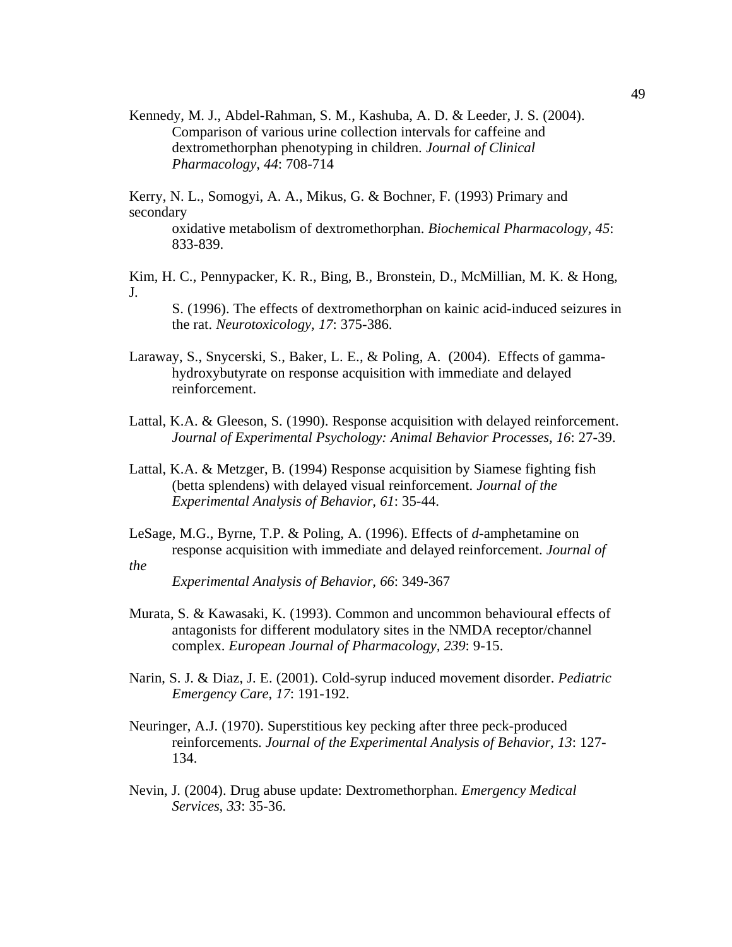Kennedy, M. J., Abdel-Rahman, S. M., Kashuba, A. D. & Leeder, J. S. (2004). Comparison of various urine collection intervals for caffeine and dextromethorphan phenotyping in children. *Journal of Clinical Pharmacology, 44*: 708-714

Kerry, N. L., Somogyi, A. A., Mikus, G. & Bochner, F. (1993) Primary and secondary oxidative metabolism of dextromethorphan. *Biochemical Pharmacology, 45*: 833-839.

Kim, H. C., Pennypacker, K. R., Bing, B., Bronstein, D., McMillian, M. K. & Hong, J.

S. (1996). The effects of dextromethorphan on kainic acid-induced seizures in the rat. *Neurotoxicology, 17*: 375-386.

- Laraway, S., Snycerski, S., Baker, L. E., & Poling, A. (2004). Effects of gammahydroxybutyrate on response acquisition with immediate and delayed reinforcement.
- Lattal, K.A. & Gleeson, S. (1990). Response acquisition with delayed reinforcement. *Journal of Experimental Psychology: Animal Behavior Processes, 16*: 27-39.
- Lattal, K.A. & Metzger, B. (1994) Response acquisition by Siamese fighting fish (betta splendens) with delayed visual reinforcement. *Journal of the Experimental Analysis of Behavior, 61*: 35-44.
- LeSage, M.G., Byrne, T.P. & Poling, A. (1996). Effects of *d*-amphetamine on response acquisition with immediate and delayed reinforcement. *Journal of the*

*Experimental Analysis of Behavior, 66*: 349-367

- Murata, S. & Kawasaki, K. (1993). Common and uncommon behavioural effects of antagonists for different modulatory sites in the NMDA receptor/channel complex. *European Journal of Pharmacology, 239*: 9-15.
- Narin, S. J. & Diaz, J. E. (2001). Cold-syrup induced movement disorder. *Pediatric Emergency Care, 17*: 191-192.
- Neuringer, A.J. (1970). Superstitious key pecking after three peck-produced reinforcements. *Journal of the Experimental Analysis of Behavior, 13*: 127- 134.
- Nevin, J. (2004). Drug abuse update: Dextromethorphan. *Emergency Medical Services, 33*: 35-36.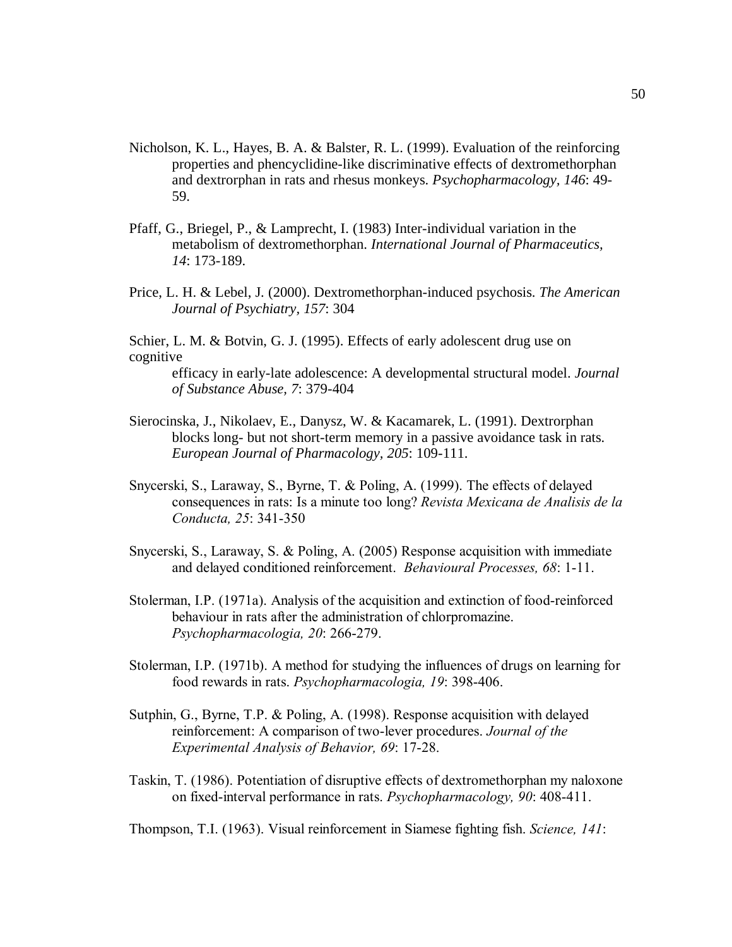- Nicholson, K. L., Hayes, B. A. & Balster, R. L. (1999). Evaluation of the reinforcing properties and phencyclidine-like discriminative effects of dextromethorphan and dextrorphan in rats and rhesus monkeys. *Psychopharmacology, 146*: 49- 59.
- Pfaff, G., Briegel, P., & Lamprecht, I. (1983) Inter-individual variation in the metabolism of dextromethorphan. *International Journal of Pharmaceutics, 14*: 173-189.
- Price, L. H. & Lebel, J. (2000). Dextromethorphan-induced psychosis. *The American Journal of Psychiatry, 157*: 304

Schier, L. M. & Botvin, G. J. (1995). Effects of early adolescent drug use on cognitive

efficacy in early-late adolescence: A developmental structural model. *Journal of Substance Abuse, 7*: 379-404

- Sierocinska, J., Nikolaev, E., Danysz, W. & Kacamarek, L. (1991). Dextrorphan blocks long- but not short-term memory in a passive avoidance task in rats. *European Journal of Pharmacology, 205*: 109-111.
- Snycerski, S., Laraway, S., Byrne, T. & Poling, A. (1999). The effects of delayed consequences in rats: Is a minute too long? *Revista Mexicana de Analisis de la Conducta, 25*: 341-350
- Snycerski, S., Laraway, S. & Poling, A. (2005) Response acquisition with immediate and delayed conditioned reinforcement. *Behavioural Processes, 68*: 1-11.
- Stolerman, I.P. (1971a). Analysis of the acquisition and extinction of food-reinforced behaviour in rats after the administration of chlorpromazine. *Psychopharmacologia, 20*: 266-279.
- Stolerman, I.P. (1971b). A method for studying the influences of drugs on learning for food rewards in rats. *Psychopharmacologia, 19*: 398-406.
- Sutphin, G., Byrne, T.P. & Poling, A. (1998). Response acquisition with delayed reinforcement: A comparison of two-lever procedures. *Journal of the Experimental Analysis of Behavior, 69*: 17-28.
- Taskin, T. (1986). Potentiation of disruptive effects of dextromethorphan my naloxone on fixed-interval performance in rats. *Psychopharmacology, 90*: 408-411.

Thompson, T.I. (1963). Visual reinforcement in Siamese fighting fish. *Science, 141*: